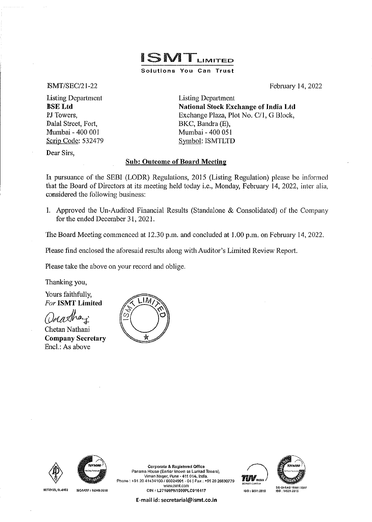# ISMTLIMITED Solutions You Can Trust

#### ISMT/SEC/21-22

Listing Department BSE Ltd PJ Towers, Dalal Street, Fort, Mumbai- 400 001 Scrip Code: 532479 Listing Department National Stock Exchange of India Ltd Exchange Plaza, Plot No. C/1, G Block, BKC, Bandra (E), Mumbai - 400 051 Symbol: ISMTLTD

February 14, 2022

Dear Sirs,

#### Sub: Outcome of Board Meeting

In pursuance of the SEBI (LODR) Regulations, 2015 (Listing Regulation) please be informed that the Board of Directors at its meeting held today i.e., Monday, February 14, 2022, inter alia, considered the following business:

1. Approved the Un-Audited Financial Results (Standalone  $\&$  Consolidated) of the Company for the ended December 31, 2021.

The Board Meeting commenced at 12.30 p.m. and concluded at 1.00 p.m. on February 14, 2022.

Please find enclosed the aforesaid results along with Auditor's Limited Review Report.

Please take the above on your record and oblige.

Thanking you,

Yours faithfully, *For* ISMT Limited

 $\mu$  Mani

Chetan Nathani Company Secretary Encl.: As above





5CT-0123, 51-0102



ISONATF: 16049:2016

Panama House (Eartier known as Lunkad Towers),<br>Miman Nagar, Pune - 411 014, India, Phone: +91 20 41434100 / 66024901 - 04 | Fax: +91 20 26630779 www.ismt.com<br>CIN:L27109PN1999PLC016417



**E-mail** id: **secretarial@ismt.co.in** 

Corporate & Registered Office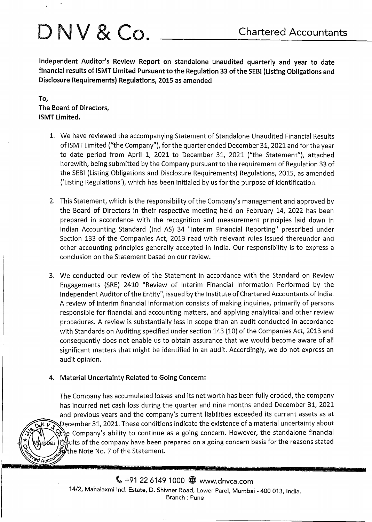# $\bigcap_{i} N_i \vee \bigotimes_{\mathcal{C}} C_i$  Chartered Accountants

Independent Auditor's Review Report on standalone unaudited quarterly and year to date financial results of ISMT Limited Pursuant to the Regulation 33 of the SEBI (Listing Obligations and Disclosure Requirements) Regulations, 2015 as amended

To, The Board of Directors, ISMT Limited.

- 1. We have reviewed the accompanying Statement of Standalone Unaudited Financial Results of ISMT Limited ("the Company"), for the quarter ended December 31, 2021 and for the year to date period from April 1, 2021 to December 31, 2021 ("the Statement"), attached herewith, being submitted by the Company pursuant to the requirement of Regulation 33 of the SEBI (Listing Obligations and Disclosure Requirements) Regulations, 2015, as amended ('Listing Regulations'), which has been initialed by us for the purpose of identification.
- 2. This Statement, which is the responsibility of the Company's management and approved by the Board of Directors in their respective meeting held on February 14, 2022 has been prepared in accordance with the recognition and measurement principles laid down in Indian Accounting Standard (Ind AS) 34 "Interim Financial Reporting" prescribed under Section 133 of the Companies Act, 2013 read with relevant rules issued thereunder and other accounting principles generally accepted in India. Our responsibility is to express a conclusion on the Statement based on our review.
- 3. We conducted our review of the Statement in accordance with the Standard on Review Engagements (SRE) 2410 "Review of Interim Financial Information Performed by the Independent Auditor of the Entity", issued by the Institute of Chartered Accountants of India. A review of interim financial information consists of making inquiries, primarily of persons responsible for financial and accounting matters, and applying analytical and other review procedures. A review is substantially less in scope than an audit conducted in accordance with Standards on Auditing specified under section 143 (10) of the Companies Act, 2013 and consequently does not enable us to obtain assurance that we would become aware of all significant matters that might be identified in an audit. Accordingly, we do not express an audit opinion.

## 4. Material Uncertainty Related to Going Concern:

**DAN V &** 

ed Account

The Company has accumulated losses and its net worth has been fully eroded, the company has incurred net cash loss during the quarter and nine months ended December 31, 2021 and previous years and the company's current liabilities exceeded its current assets as at December 31, 2021. These conditions indicate the existence of a material uncertainty about ર્દ્રાણે Company's ability to continue as a going concern. However, the standalone financial results of the company have been prepared on a going concern basis for the reasons stated withe Note No. 7 of the Statement.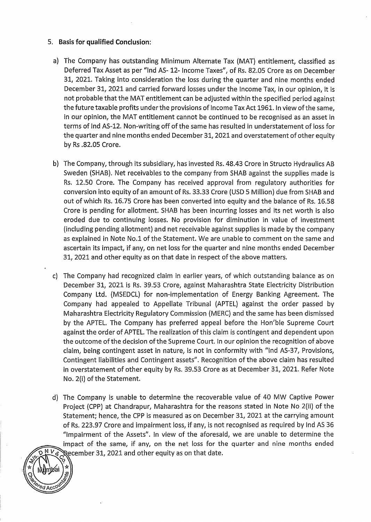### 5. **Basis for qualified Conclusion:**

~ <? \* ( Mumbai ) **\*** 2

**Exercise Accounty** 

- a) The Company has outstanding Minimum Alternate Tax (MAT} entitlement, classified as Deferred Tax Asset as per "Ind AS- 12- Income Taxes", of Rs. 82.05 Crore as on December 31, 2021. Taking into consideration the loss during the quarter and nine months ended December 31, 2021 and carried forward losses under the Income Tax, in our opinion, it is not probable that the MAT entitlement can be adjusted within the specified period against the future taxable profits under the provisions of Income Tax Act 1961. In view of the same, in our opinion, the MAT entitlement cannot be continued to be recognised as an asset in terms of lnd AS-12. Non-writing off of the same has resulted in understatement of loss for the quarter and nine months ended December 31, 2021 and overstatement of other equity by Rs .82.05 Crore.
- b) The Company, through its subsidiary, has invested Rs. 48.43 Crore in Structo Hydraulics AB Sweden (SHAB). Net receivables to the company from SHAB against the supplies made is Rs. 12.50 Crore. The Company has received approval from regulatory authorities for conversion into equity of an amount of Rs. 33.33 Crore (USD 5 Million) due from SHAB and out of which Rs. 16.75 Crore has been converted into equity and the balance of Rs. 16.58 Crore is pending for allotment. SHAB has been incurring losses and its net worth is also eroded due to continuing losses. No provision for diminution in value of investment (including pending allotment) and net receivable against supplies is made by the company as explained in Note No.1 of the Statement. We are unable to comment on the same and ascertain its impact, if any, on net loss for the quarter and nine months ended December 31, 2021 and other equity as on that date in respect of the above matters.
- c) The Company had recognized claim in earlier years, of which outstanding balance as on December 31, 2021 is Rs. 39.53 Crore, against Maharashtra State Electricity Distribution Company Ltd. (MSEDCL} for non-implementation of Energy Banking Agreement. The Company had appealed to Appellate Tribunal (APTEL} against the order passed by Maharashtra Electricity Regulatory Commission (MERC) and the same has been dismissed by the APTEL. The Company has preferred appeal before the Hon'ble Supreme Court against the order of APTEL. The realization of this claim is contingent and dependent upon the outcome of the decision of the Supreme Court. In our opinion the recognition of above claim, being contingent asset in nature, is not in conformity with "lnd AS-37, Provisions, Contingent liabilities and Contingent assets". Recognition of the above claim has resulted in overstatement of other equity by Rs. 39.53 Crore as at December 31, 2021. Refer Note No. 2(i) of the Statement.
- d) The Company is unable to determine the recoverable value of 40 MW Captive Power Project (CPP) at Chandrapur, Maharashtra for the reasons stated in Note No 2(ii) of the Statement; hence, the CPP is measured as on December 31, 2021 at the carrying amount of Rs. 223.97 Crore and impairment loss, if any, is not recognised as required by lnd AS 36 "Impairment of the Assets". In view of the aforesaid, we are unable to determine the impact of the same, if any, on the net loss for the quarter and nine months ended **Second R** *P P C* cember 31, 2021 and other equity as on that date.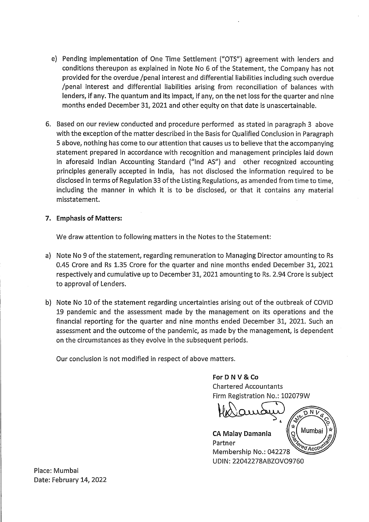- e) Pending implementation of One Time Settlement ("OTS"} agreement with lenders and conditions thereupon as explained in Note No 6 of the Statement, the Company has not provided for the overdue /penal interest and differential liabilities including such overdue /penal interest and differential liabilities arising from reconciliation of balances with lenders, if any. The quantum and its impact, if any, on the net loss for the quarter and nine months ended December 31, 2021 and other equity on that date is unascertainable.
- 6. Based on our review conducted and procedure performed as stated in paragraph 3 above with the exception of the matter described in the Basis for Qualified Conclusion in Paragraph 5 above, nothing has come to our attention that causes us to believe that the accompanying statement prepared in accordance with recognition and management principles laid down in aforesaid Indian Accounting Standard ("lnd AS"} and other recognized accounting principles generally accepted in India, has not disclosed the information required to be disclosed in terms of Regulation 33 of the Listing Regulations, as amended from time to time, including the manner in which it is to be disclosed, or that it contains any material misstatement.

#### **7. Emphasis of Matters:**

We draw attention to following matters in the Notes to the Statement:

- a) Note No 9 of the statement, regarding remuneration to Managing Director amounting to Rs 0.45 Crore and Rs 1.35 Crore for the quarter and nine months ended December 31, 2021 respectively and cumulative up to December 31, 2021 amounting to Rs. 2.94 Crore is subject to approval of Lenders.
- b) Note No 10 of the statement regarding uncertainties arising out of the outbreak of COVID 19 pandemic and the assessment made by the management on its operations and the financial reporting for the quarter and nine months ended December 31, 2021. Such an assessment and the outcome of the pandemic, as made by the management, is dependent on the circumstances as they evolve in the subsequent periods.

Our conclusion is not modified in respect of above matters.

#### **ForD NV & Co**

Chartered Accountants Firm Registration No.: 102079W

~ & **CA Malay Damania**  Partner ed Acco Membership No.: 042278 UDIN: 22042278ABZOV09760

Place: Mumbai Date: February 14, 2022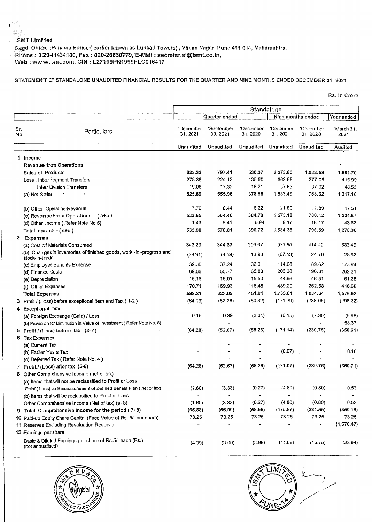#### IS.MT Limited

Regd. Office :Panama House (earlier known as Lunkad Towers), Viman Nagar, Pune 411 014, Maharashtra. Phone: 020-11434100, Fax: 020-26630779, E-Mail: secretarial@ismt.co.in, Web: www.ismt.com, CIN: L27109PN1999PLC016417

#### STATEMENT CF STANDALONE UNAUDITED FINANCIAL RESULTS FOR THE QUARTER AND NINE MONTHS ENDED DECEMBER 31, 2021

Rs. In Crore

|           |                                                                                                                                 | Standalone            |                        |                       |                       |                          |                    |
|-----------|---------------------------------------------------------------------------------------------------------------------------------|-----------------------|------------------------|-----------------------|-----------------------|--------------------------|--------------------|
|           |                                                                                                                                 |                       | Quarter ended          |                       |                       | Nine months ended        | Year ended         |
| Sr.<br>No | Particulars                                                                                                                     | 'December<br>31, 2021 | 'September<br>30, 2021 | 'December<br>31, 2020 | 'December<br>31, 2021 | 'December<br>31, 2020    | 'March 31,<br>2021 |
|           |                                                                                                                                 | Unaudited             | Unaudited              | Unaudited             | Unaudited             | Unaudited                | Audited            |
|           | 1 Income                                                                                                                        |                       |                        |                       |                       |                          |                    |
|           | Revenue from Operations                                                                                                         |                       |                        |                       |                       |                          |                    |
|           | <b>Sales of Products</b>                                                                                                        | 823,33                | 797.41                 | 530.37                | 2,273.80              | 1,083.59                 | 1,681.70           |
|           | Less : Inter Segment Transfers                                                                                                  | 278.36                | 224.13                 | 135.60                | 662 68                | 277 05                   | 41599              |
|           | <b>Inter Division Transfers</b>                                                                                                 | 19.08                 | 17.32                  | 16.21                 | 57.63                 | 37.92                    | 48.55              |
|           | (a) Net Sales                                                                                                                   | 525.89                | 555.96                 | 378.56                | 1,553.49              | 768.62                   | 1,217.16           |
|           | (b) Olher Operating Revenue                                                                                                     | $-7.76$               | 8.44                   | 6.22                  | 21.69                 | 11.80                    | 17.51              |
|           | (c) Reversue From Operations - (a+b)                                                                                            | 533.65                | 564.40                 | 384.78                | 1,575.18              | 780.42                   | 1,234.67           |
|           | (d) Other Income (Refer Note No 5)                                                                                              | 1.43                  | 6.41                   | 5.94                  | 9.17                  | 16.17                    | 43.63              |
|           | Total Income $-(c+d)$                                                                                                           | 535.08                | 570.81                 | 390.72                | 1,584.35              | 796.59                   | 1,278.30           |
|           | 2 Expenses                                                                                                                      |                       |                        |                       |                       |                          |                    |
|           | (a) Cost of Materials Consumed                                                                                                  | 343.29                | 344.63                 | 206.67                | 971.55                | 414.42                   | 68349              |
|           | .(b) Changes in inventeries of finished goods, work -in -progress and<br>stock-in-trade                                         | (38.91)               | (9.49)                 | 13.93                 | (67.43)               | 24.70                    | 28.92              |
|           | (c) Employee Benefits Expense                                                                                                   | 39.30                 | 37.24                  | 32.61                 | 114.08                | 89.62                    | 123.94             |
|           | (d) Finance Costs                                                                                                               | 69.66                 | 65.77                  | 65.88                 | 203.28                | 196.81                   | 262.21             |
|           | (e) Depreciation                                                                                                                | 15.16                 | 15.01                  | 15.50                 | 44.96                 | 46.51                    | 61.28              |
|           | (f) Other Expenses                                                                                                              | 170.71                | 169.93                 | 116.45                | 489.20                | 262.58                   | 416.68             |
|           | <b>Total Expenses</b>                                                                                                           | 599.21                | 623.09                 | 451.04                | 1,755.64              | 1,034.64                 | 1,576.52           |
|           | 3 Profit / (Loss) before exceptional item and Tax (1-2)                                                                         | (64.13)               | (52.28)                | (60.32)               | (171.29)              | (238.05)                 | (298.22)           |
|           | 4 Exceptional items:                                                                                                            |                       |                        |                       |                       |                          |                    |
|           | (a) Foreign Exchange (Gain) / Loss                                                                                              | 0.15                  | 0.39                   | (2.04)                | (0.15)                | (7.30)                   | (5.98)             |
|           | (b) Provision for Diminution in Value of Investment (Refer Note No. 8)                                                          |                       |                        | ÷                     |                       |                          | 58.37              |
|           | 5 Profit / (Loss) before $\frac{1}{2}$ (3-4)                                                                                    | (64.28)               | (52.67)                | (58.28)               | (171.14)              | (230.75)                 | (350.61)           |
|           | 6 Tax Expenses :                                                                                                                |                       |                        |                       |                       |                          |                    |
|           | (a) Current Tax                                                                                                                 |                       |                        |                       |                       |                          |                    |
|           | (b) Earlier Years Tax                                                                                                           |                       |                        |                       | (0.07)                |                          | 0.10               |
|           | (c) Deferred Tax (Refer Note No. 4)                                                                                             | (64.28)               | (52.67)                | (58.28)               | (171.07)              | (230.75)                 | (350.71)           |
|           | 7 Profit / (Loss) after tax (5-6)                                                                                               |                       |                        |                       |                       |                          |                    |
|           | 8 Other Comprehensive Income (net of tax)                                                                                       |                       |                        |                       |                       |                          |                    |
|           | (a) Items that will not be reclassified to Profit or Loss<br>Gain/ (Loss) on Remeasurement of Defined Benefit Plan (net of tax) | (1.60)                | (3.33)                 | (0.27)                | (4.80)                | (0.80)                   | 0.53               |
|           | (b) Items that will be reclassified to Profit or Loss                                                                           |                       |                        |                       |                       |                          |                    |
|           | Other Comprehensive Income (Net of tax) (a+b)                                                                                   | (1.60)                | (3.33)                 | (0.27)                | (4.80)                | (0.80)                   | 0.53               |
|           | 9 Total Comprehensive Income for the period (7+8)                                                                               | (65.88)               | (56.00)                | (58.55)               | (175.87)              | (231.55)                 | (350.18)           |
|           | 10 Paid-up Equity Share Capital (Face Value of Rs. 5/- per share)                                                               | 73.25                 | 73.25                  | 73.25                 | 73.25                 | 73.25                    | 73.25              |
|           | 11 Reserves Excluding Revaluation Reserve                                                                                       |                       |                        |                       |                       | $\overline{\phantom{a}}$ | (1,676.47)         |
|           | 12 Earnings per share                                                                                                           |                       |                        |                       |                       |                          |                    |
|           | Basic & Diluted Earnings per share of Rs.5/- each (Rs.)<br>(not annualised)                                                     | (4.39)                | (3.60)                 | (3.98)                | (11.68)               | (15.75)                  | (23.94)            |
|           |                                                                                                                                 |                       |                        |                       |                       |                          |                    |



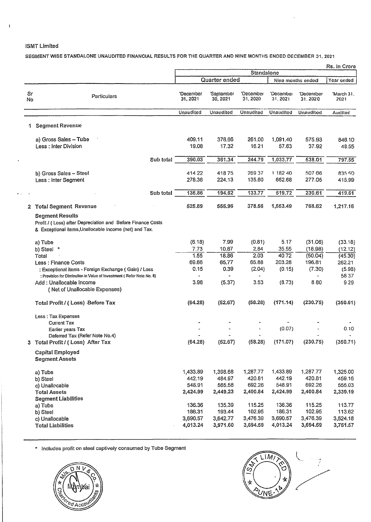#### ISMT Limited

 $\bar{1}$ 

SEGMENT WISE STANDALONE UNAUDITED FINANCIAL RESULTS FOR THE QUARTER AND NINE MONTHS ENDED DECEMBER 31, 2021

|          |                                                                                                                                                 | Rs. In Crore          |                        |                       |                       |                      |                      |
|----------|-------------------------------------------------------------------------------------------------------------------------------------------------|-----------------------|------------------------|-----------------------|-----------------------|----------------------|----------------------|
|          |                                                                                                                                                 | Standalone            |                        |                       |                       |                      |                      |
|          |                                                                                                                                                 |                       | Quarter ended          |                       |                       | Nine months ended    | Year ended           |
| Sr<br>No | Particulars                                                                                                                                     | 'Decamber<br>31, 2021 | 'September<br>30, 2021 | 'December<br>31, 2020 | 'December<br>31, 2021 | 'December<br>31.2020 | 'March 31.<br>2021   |
|          |                                                                                                                                                 | Unaudited             | Unaudited              | Unaudited             | Unaudited             | Unaudited            | Audited              |
| 1.       | <b>Segment Revenue</b>                                                                                                                          |                       |                        |                       |                       |                      |                      |
|          | a) Gross Sales - Tube<br>Less: Inter Division                                                                                                   | 409.11<br>19.08       | 378.66<br>17.32        | 261.00<br>16.21       | 1,091.40<br>57.63     | 575.93<br>37.92      | 846.10<br>48.55      |
|          | Sub total                                                                                                                                       | 390.03                | 361.34                 | 244.79                | 1,033.77              | 538.01               | 797.55               |
|          | b) Gross Sales - Steel<br>Less : Inter Segment                                                                                                  | 414.22<br>278.36      | 418.75<br>224.13       | 269 37<br>135.60      | 1 182 40<br>662.68    | 507 66<br>277.05     | 835.60<br>415.99     |
|          | Sub total                                                                                                                                       | 135.86                | 194.62                 | 133.77                | 519.72                | 230.61               | 419.61               |
| 2        | <b>Total Segment Revenue</b>                                                                                                                    | 525.89                | 555.96                 | 378.56                | 1,553.49              | 768.62               | 1.217.16             |
|          | <b>Segment Results</b><br>Profit / (Loss) after Depreciation and Before Finance Costs<br>& Exceptional items, Unallocable income (net) and Tax. |                       |                        |                       |                       |                      |                      |
|          | a) Tube<br>b) Steel *                                                                                                                           | (6.18)<br>7.73        | 7.99<br>10.87          | (0.81)<br>2,84        | 5.17<br>35.55         | (31.06)<br>(18.98)   | (33.18)<br>(12.12)   |
|          | Total                                                                                                                                           | 1.55                  | 18.86                  | 2.03                  | 40.72                 | (50.04)              | (45.30)              |
|          | Less : Finance Costs                                                                                                                            | 69.66                 | 65.77                  | 65.88                 | 203.28                | 196.81               | 262.21               |
|          | : Exceptional items - Foreign Exchange (Gain) / Loss<br>: Provision for Diminution in Value of Investment (Refer Note No. 8)                    | 0.15                  | 0.39                   | (2.04)                | (0.15)                | (7.30)               | (5.98)<br>58.37      |
|          | Add: Unallocable Income<br>(Net of Unallocable Expenses)                                                                                        | 3.98                  | (5.37)                 | 3.53                  | (8.73)                | 8.80                 | 9.29                 |
|          | Total Profit / (Loss) Before Tax                                                                                                                | (64.28)               | (52.67)                | (58.28)               | (171.14)              | (230.75)             | (350.61)             |
|          | Less: Tax Expenses<br><b>Current Tax</b>                                                                                                        |                       |                        |                       |                       |                      |                      |
|          | Earlier years Tax                                                                                                                               |                       |                        |                       | (0.07)                |                      | 0.10                 |
|          | Deferred Tax (Refer Note No.4)<br>Total Profit / (Loss) After Tax                                                                               | (64.28)               | (52.67)                | (58.28)               | (171.07)              | (230.75)             | (350.71)             |
|          | Capital Employed<br><b>Segment Assets</b>                                                                                                       |                       |                        |                       |                       |                      |                      |
|          | a) Tube                                                                                                                                         | 1,433.89<br>442.19    | 1,398.68               | 1,287.77<br>420.81    | 1,433.89<br>442.19    | 1,287.77<br>420.81   | 1,325.00<br>459.16   |
|          | b) Steel<br>c) Unallocable                                                                                                                      | 548.91                | 484.97<br>565.58       | 692.26                | 548.91                | 692.26               | 555.03               |
|          | <b>Total Assets</b><br><b>Segment Liabilities</b>                                                                                               | 2,424.99              | 2,449.23               | 2,400.84              | 2,424.99              | 2,400.84             | 2,339.19             |
|          | a) Tube                                                                                                                                         | 136.36                | 135.39                 | 115.25                | 136.36                | 115.25               | 113.77               |
|          | b) Steel                                                                                                                                        | 186.31                | 193.44                 | 102.95                | 186.31                | 102.95               | 113.62               |
|          | c) Unallocable<br><b>Total Liabilities</b>                                                                                                      | 3,690.57<br>4,013.24  | 3,642.77<br>3,971.60   | 3,476.39<br>3,694.59  | 3,690.57<br>4,013.24  | 3,476.39<br>3,694.59 | 3,524.18<br>3,751.57 |

\* Includes profit on steel captively consumed by Tube Segment



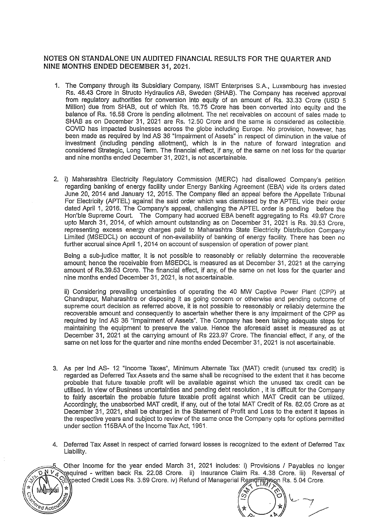#### NOTES ON STANDALONE UN AUDITED FINANCIAL RESULTS FOR THE QUARTER AND NINE MONTHS ENDED DECEMBER 31, 2021.

- 1. The Company through its Subsidiary Company, ISMT Enterprises S.A., Luxembourg has invested Rs. 48.43 Crore in Structo Hydraulics AB, Sweden (SHAB). The Company has received approval from regulatory authorities for conversion Into equity of an amount of Rs. 33.33 Crore (USD 5 Million) due from SHAB, out of which Rs. 16.75 Crore has been converted into equity and the balance of Rs. 16.58 Crore is pending allotment. The net receivables on account of sales made to SHAB as on December 31, 2021 are Rs. 12.50 Crore and the same is considered as collectible COVID has impacted businesses across the globe including Europe. No provision, however, has been made as required by lnd AS 36 "Impairment of Assets" in respect of diminution in the value of investment (including pending allotment), which is in the nature of forward integration and considered Strategic, Long Term. The financial effect, if any, of the same on net loss for the quarter and nine months ended December 31, 2021, is not ascertainable.
- 2. i) Maharashtra Electricity Regulatory Commission (MERC) had disallowed Company's petition regarding banking of energy facility under Energy Banking Agreement (EBA) vide its orders dated June 20, 2014 and January 12, 2015. The Company filed an appeal before the Appellate Tribunal For Electricity (APTEL) against the said order which was dismissed by the APTEL vide their order dated April 1, 2016. The Company's appeal, challenging the APTEL order is pending before the Hon'ble Supreme Court. The Company had accrued EBA benefit aggregating to Rs. 49.97 Crore upto March 31, 2014, of which amount outstanding as on December 31, 2021 is Rs. 39.53 Crore, representing excess energy charges paid to Maharashtra State Electricity Distribution Company Limited (MSEDCL) on account of non-availability of banking of energy facility. There has been no further accrual since April 1, 2014 on account of suspension of operation of power plant.

Being a sub-judice matter, it is not possible to reasonably or reliably determine the recoverable amount; hence the receivable from MSEDCL is measured as at December 31, 2021 at the carrying amount of Rs.39.53 Crore. The financial effect, if any, of the same on net loss for the quarter and nine months ended December 31, 2021, is not ascertainable.

ii) Considering prevailing uncertainties of operating the 40 MW Captive Power Plant (CPP) at Chandrapur, Maharashtra or disposing it as going concern or otherwise and pending outcome of supreme court decision as referred above, it is not possible to reasonably or reliably determine the recoverable amount and consequently to ascertain whether there is any impairment of the CPP as required by lnd AS 36 "Impairment of Assets». The Company has been taking adequate steps for maintaining the equipment to preserve the value. Hence the aforesaid asset is measured as at December 31, 2021 at the carrying amount of Rs 223.97 Crore. The financial effect, if any, of the same on net loss for the quarter and nine months ended December 31, 2021 is not ascertainable.

- 3. As per lnd AS- 12 "Income Taxes", Minimum Alternate Tax (MAT) credit (unused tax credit) is regarded as Deferred Tax Assets and the same shall be recognised to the extent that it has become probable that future taxable profit will be available against which the unused tax credit can be utilised. In view of Business uncertainties and pending debt resolution , it is difficult for the Company to fairly ascertain the probable future taxable profit against which MAT Credit can be utilized. Accordingly, the unabsorbed MAT credit, if any, out of the total MAT Credit of Rs. 82.05 Crore as at December 31 , 2021, shall be charged in the Statement of Profit and Loss to the extent it lapses in the respective years and subject to review of the same once the Company opts for options permitted under section 115BAA of the Income Tax Act, 1961.
- Deferred Tax Asset in respect of carried forward losses is recognized to the extent of Deferred Tax  $\Delta$ Liability.

Other Income for the year ended March 31, 2021 includes: i) Provisions / Payables no longer required - written back Rs. 22.08 Crore. ii) Insurance Claim Rs. 4.38 Crore. iii) Reversal of spected Credit Loss Rs. 3.69 Crore. iv) Refund of Managerial Reprofiteration Rs. 5.04 Crore.

4 ∢ c. ∽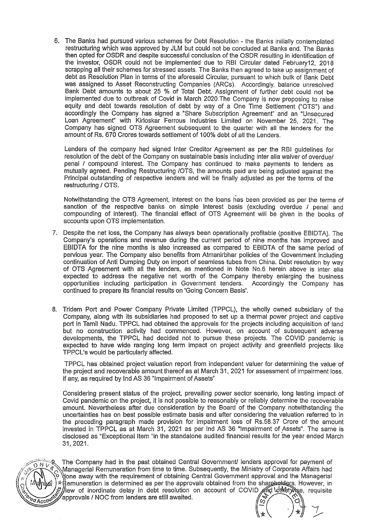6. The Banks had pursued various schemes for Debt Resolution - the Banks initially contemplated restructuring which was approved by JLM but could not be concluded at Banks end. The Banks then opted for OSDR and despite successful conclusion of the OSDR resulting in identification of the investor, OSDR could not be implemented due to RBI Circular dated February12, 2018 scrapping all their schemes for stressed assets. The Banks then agreed to take up assignment of debt as Resolution Plan in terms of the aforesaid Circular, pursuant to which bulk of Bank Debt was assigned to Asset Reconstructing Companies (ARCs). Accordingly. balance unresolved Bank Debt amounts to about 25 % of Total Debt. Assignment of further debt could not be implemented due to outbreak of Covid in March 2020.The Company is now proposing to raise equity and debt towards resolution of debt by way of a One Time Settlement ("OTS") and accordingly the Company has signed a "Share Subscription Agreement" and an "Unsecured Loan Agreement" with Kirloskar Ferrous Industries Limited on November 25, 2021. The Company has signed OTS Agreement subsequent to the quarter with all the lenders for the amount of Rs. 670 Crores towards settlement of 1 00% debt of all the Lenders.

Lenders of the company had signed Inter Creditor Agreement as per the RBI guidelines for resolution of the debt of the Company on sustainable basis including inter alia waiver of overdue/ penal I compound interest. The Company has continued to make payments to lenders as mutually agreed. Pending Restructuring /OTS, the amounts paid are being adjusted against the Principal outstanding of respective lenders and will be finally adjusted as per the terms of the restructuring / OTS.

Notwithstanding the OTS Agreement, interest on the loans has been provided as per the terms of sanction of the respective banks on simple interest basis (excluding overdue / penal and compounding of interest). The financial effect of OTS Agreement will be given in the books of accounts upon OTS implementation.

- 7. Despite the net loss, the Company has always been operationally profitable (positive EBIDTA). The Company's operations and revenue during the current period of nine months has improved and EBIDTA for the nine months is also increased as compared to EBIDTA of the same period of pervious year. The Company also benefits from Atmanirbhar policies of the Government including continuation of Anti Dumping Duty on import of seamless tubes from China. Debt resolution by way of OTS Agreement with all the lenders, as mentioned in Note No.6 herein above is inter alia expected to address the negative net worth of the Company thereby enlarging the business opportunities including participation in Government tenders. Accordingly the Company has continued to prepare its financial results on 'Going Concern Basis'.
- 8. Tridem Port and Power Company Private Limited (TPPCL), the wholly owned subsidiary of the Company, along with its subsidiaries had proposed to set up a thermal power project and captive port in Tamil Nadu. TPPCL had obtained the approvals for the projects including acquisition of land but no construction activity had commenced. However, on account of subsequent adverse developments, the TPPCL had decided not to pursue these projects. The COVID pandemic is expected to have wide ranging long term impact on project activity and greenfield projects like TPPCL's would be particularly affected.

TPPCL has obtained project valuation report from independent valuer for determining the value of the project and recoverable amount thereof as at March 31, 2021 for assessment of impairment loss. if any, as required by lnd AS 36 "Impairment of Assets"

Considering present status of the project, prevailing power sector scenario, long lasting impact of Covid pandemic on the project, it is not possible to reasonably or reliably determine the recoverable amount. Nevertheless after due consideration by the Board of the Company notwithstanding the uncertainties has on best possible estimate basis and after considering the valuation referred to in the preceding paragraph made provision for impairment loss of Rs.58.37 Crore of the amount invested in TPPCL as at March 31, 2021 as per lnd AS 36 "Impairment of Assets". The same is disclosed as "Exceptional Item "in the standalone audited financial results for 'the year ended March 31,2021.

ា

The Company had in the past obtained Central Government/ lenders approval for payment of Managerial Remuneration from time to time. Subsequently, the Ministry of Corporate Affairs had done away with the requirement of obtaining Central Government approval and the Managerial \*Remuneration is determined as per the approvals obtained from the sharehed ext. However, in s liew of inordinate delay in debt resolution on account of COVID and Idiliary se, requisite approvals / NOC from lenders are still awaited.

U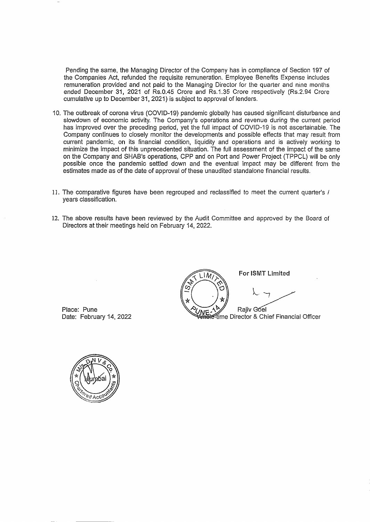Pending the same, the Managing Director of the Company has in compliance of Section 197 of the Companies Act, refunded the requisite remuneration. Employee Benefits Expense includes remuneration provided and not paid to the Managing Director for the quarter and nine months ended December 31, 2021 of Rs.0.45 Crore and Rs.1.35 Crore respectively (Rs.2.94 Crore cumulative up to December 31, 2021) is subject to approval of lenders.

- 10. The outbreak of corona virus (COVID-19) pandemic globally has caused significant disturbance and slowdown of economic activity. The Company's operations and revenue during the current period has improved over the preceding period, yet the full impact of COVID-19 is not ascertainable. The Company continues to closely monitor the developments and possible effects that may result from current pandemic, on its financial condition, liquidity and operations and is actively working to minimize the impact of this unprecedented situation. The full assessment of the impact of the same on the Company and SHAB's operations, CPP and on Port and Power Project (TPPCL) will be only possible once the pandemic settled down and the eventual impact may be different from the estimates made as of the date of approval of these unaudited standalone financial results.
- 11. The comparative figures have been regrouped and reclassified to meet the current quarter's / years classification.
- 12. The above results have been reviewed by the Audit Committee and approved by the Board of Directors at their meetings held on February 14, 2022.

For ISMT Limited  $1M$ Rajiv Góel e-time Director & Chief Financial Officer

Place: Pune Date: February 14, 2022

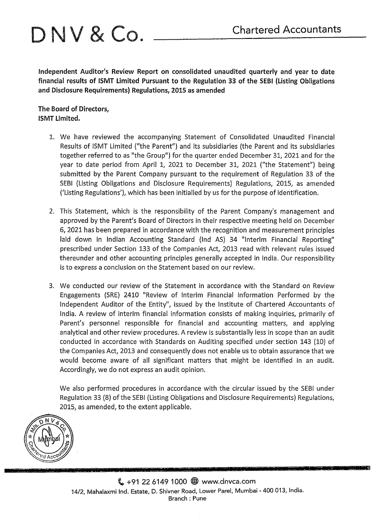# D N V & Co. Chartered Accountants

Independent Auditor's Review Report on consolidated unaudited quarterly and year to date financial results of ISMT Limited Pursuant to the Regulation 33 of the SEBI (Listing Obligations and Disclosure Requirements) Regulations, 2015 as amended

The Board of Directors, ISMT Limited.

- 1. We have reviewed the accompanying Statement of Consolidated Unaudited Financial Results of ISMT Limited ("the Parent") and its subsidiaries (the Parent and its subsidiaries together referred to as "the Group") for the quarter ended December 31, 2021 and for the year to date period from April 1, 2021 to December 31, 2021 ("the Statement") being submitted by the Parent Company pursuant to the requirement of Regulation 33 of the SEBI {Listing Obligations and Disclosure Requirements) Regulations, 2015, as amended {'Listing Regulations'), which has been initialled by us for the purpose of identification.
- 2. This Statement, which is the responsibility of the Parent Company's management and approved by the Parent's Board of Directors in their respective meeting held on December 6, 2021 has been prepared in accordance with the recognition and measurement principles laid down in Indian Accounting Standard (lnd AS) 34 "Interim Financial Reporting" prescribed under Section 133 of the Companies Act, 2013 read with relevant rules issued thereunder and other accounting principles generally accepted in India. Our responsibility is to express a conclusion on the Statement based on our review.
- 3. We conducted our review of the Statement in accordance with the Standard on Review Engagements (SRE) 2410 "Review of Interim Financial Information Performed by the Independent Auditor of the Entity", issued by the Institute of Chartered Accountants of India. A review of interim financial information consists of making inquiries, primarily of Parent's personnel responsible for financial and accounting matters, and applying analytical and other review procedures. A review is substantially less in scope than an audit conducted in accordance with Standards on Auditing specified under section 143 (10) of the Companies Act, 2013 and consequently does not enable us to obtain assurance that we would become aware of all significant matters that might be identified in an audit. Accordingly, we do not express an audit opinion.

We also performed procedures in accordance with the circular issued by the SEBI under Regulation 33 (8) of the SEBI (Listing Obligations and Disclosure Requirements) Regulations, 2015, as amended, to the extent applicable.

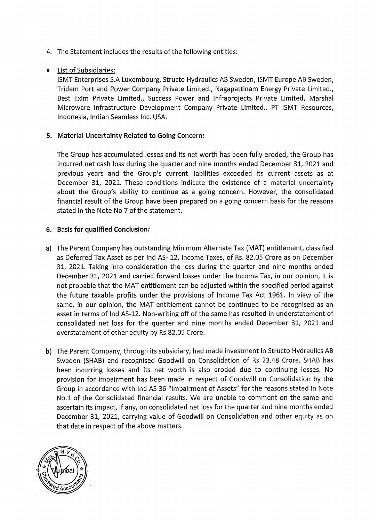- 4. The Statement includes the results of the following entities:
- List of Subsidiaries:

ISMT Enterprises S.A Luxembourg, Structo Hydraulics AB Sweden, ISMT Europe AB Sweden, Tridem Port and Power Company Private Limited., Nagapattinam Energy Private Limited., Best Exim Private Limited., Success Power and lnfraprojects Private Limited, Marshal Microware Infrastructure Development Company Private Limited., PT ISMT Resources, Indonesia, Indian Seamless Inc. USA.

## **5. Material Uncertainty Related to Going Concern:**

The Group has accumulated losses and its net worth has been fully eroded, the Group has incurred net cash loss during the quarter and nine months ended December 31, 2021 and previous years and the Group's current liabilities exceeded its current assets as at December 31, 2021. These conditions indicate the existence of a material uncertainty about the Group's ability to continue as a going concern. However, the consolidated financial result of the Group have been prepared on a going concern basis for the reasons stated in the Note No 7 of the statement.

### **6. Basis for qualified Conclusion:**

- a) The Parent Company has outstanding Minimum Alternate Tax (MAT) entitlement, classified as Deferred Tax Asset as per lnd AS- 12, Income Taxes, of Rs. 82.05 Crore as on December 31, 2021. Taking into consideration the loss during the quarter and nine months ended December 31, 2021 and carried forward losses under the Income Tax, in our opinion, it is not probable that the MAT entitlement can be adjusted within the specified period against the future taxable profits under the provisions of Income Tax Act 1961. In view of the same, in our opinion, the MAT entitlement cannot be continued to be recognised as an asset in terms of lnd AS-12. Non-writing off of the same has resulted in understatement of consolidated net loss for the quarter and nine months ended December 31, 2021 and overstatement of other equity by Rs.82.05 Crore.
- b) The Parent Company, through its subsidiary, had made investment in Structo Hydraulics AB Sweden (SHAB) and recognised Goodwill on Consolidation of Rs 23.48 Crore. SHAB has been incurring losses and its net worth is also eroded due to continuing losses. No provision for impairment has been made in respect of Goodwill on Consolidation by the Group in accordance with lnd AS 36 "Impairment of Assets" for the reasons stated in Note No.1 of the Consolidated financial results. We are unable to comment on the same and ascertain its impact, if any, on consolidated net loss for the quarter and nine months ended December 31, 2021, carrying value of Goodwill on Consolidation and other equity as on that date in respect of the above matters.

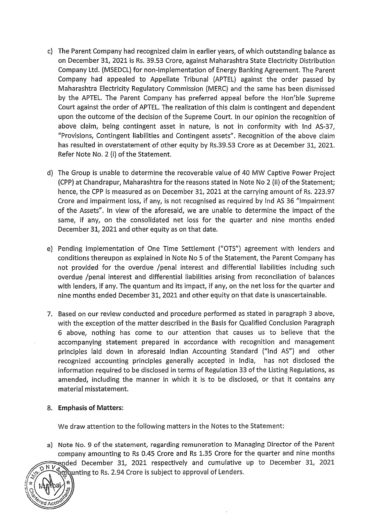- c) The Parent Company had recognized claim in earlier years, of which outstanding balance as on December 31, 2021 is Rs. 39.53 Crore, against Maharashtra State Electricity Distribution Company Ltd. {MSEDCL) for non-implementation of Energy Banking Agreement. The Parent Company had appealed to Appellate Tribunal {APTEL) against the order passed by Maharashtra Electricity Regulatory Commission {MERC) and the same has been dismissed by the APTEL. The Parent Company has preferred appeal before the Hon'ble Supreme Court against the order of APTEL. The realization of this claim is contingent and dependent upon the outcome of the decision of the Supreme Court. In our opinion the recognition of above claim, being contingent asset in nature, is not in conformity with lnd AS-37, "Provisions, Contingent liabilities and Contingent assets". Recognition of the above claim has resulted in overstatement of other equity by Rs.39.53 Crore as at December 31, 2021. Refer Note No. 2 (i) of the Statement.
- d) The Group is unable to determine the recoverable value of 40 MW Captive Power Project {CPP) at Chandrapur, Maharashtra for the reasons stated in Note No 2 (ii) of the Statement; hence, the CPP is measured as on December 31, 2021 at the carrying amount of Rs. 223.97 Crore and impairment loss, if any, is not recognised as required by lnd AS 36 "Impairment of the Assets". In view of the aforesaid, we are unable to determine the impact of the same, if any, on the consolidated net loss for the quarter and nine months ended December 31, 2021 and other equity as on that date.
- e) Pending implementation of One Time Settlement {"OTS") agreement with lenders and conditions thereupon as explained in Note No 5 of the Statement, the Parent Company has not provided for the overdue /penal interest and differential liabilities including such overdue /penal interest and differential liabilities arising from reconciliation of balances with lenders, if any. The quantum and its impact, if any, on the net loss for the quarter and nine months ended December 31, 2021 and other equity on that date is unascertainable.
- 7. Based on our review conducted and procedure performed as stated in paragraph 3 above, with the exception of the matter described in the Basis for Qualified Conclusion Paragraph 6 above, nothing has come to our attention that causes us to believe that the accompanying statement prepared in accordance with recognition and management principles laid down in aforesaid Indian Accounting Standard ("lnd AS") and other recognized accounting principles generally accepted in India, has not disclosed the information required to be disclosed in terms of Regulation 33 of the Listing Regulations, as amended, including the manner in which it is to be disclosed, or that it contains any material misstatement.

#### 8. **Emphasis of Matters:**

We draw attention to the following matters in the Notes to the Statement:

a) Note No. 9 of the statement, regarding remuneration to Managing Director of the Parent company amounting to Rs 0.45 Crore and Rs 1.35 Crore for the quarter and nine months ended December 31, 2021 respectively and cumulative up to December 31, 2021:  $\widetilde{N V_{c}}$ mounting to Rs. 2.94 Crore is subject to approval of Lenders.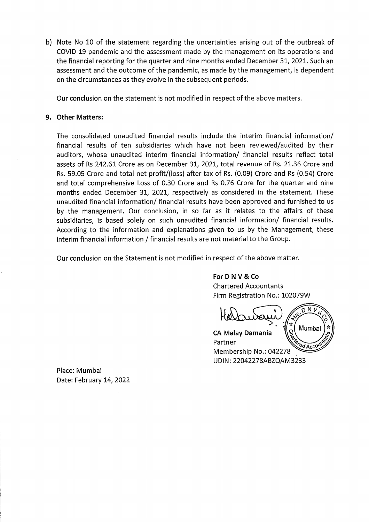b) Note No 10 of the statement regarding the uncertainties arising out of the outbreak of COVID 19 pandemic and the assessment made by the management on its operations and the financial reporting for the quarter and nine months ended December 31, 2021. Such an assessment and the outcome of the pandemic, as made by the management, is dependent on the circumstances as they evolve in the subsequent periods.

Our conclusion on the statement is not modified in respect of the above matters.

#### **9. Other Matters:**

The consolidated unaudited financial results include the interim financial information/ financial results of ten subsidiaries which have not been reviewed/audited by their auditors, whose unaudited interim financial information/ financial results reflect total assets of Rs 242.61 Crore as on December 31, 2021, total revenue of Rs. 21.36 Crore and Rs. 59.05 Crore and total net profit/(loss) after tax of Rs. (0.09} Crore and Rs (0.54) Crore and total comprehensive Loss of 0.30 Crore and Rs 0.76 Crore for the quarter and nine months ended December 31, 2021, respectively as considered in the statement. These unaudited financial information/ financial results have been approved and furnished to us by . the management. Our conclusion, in so far as it relates to the affairs of these subsidiaries, is based solely on such unaudited financial information/ financial results. According to the information and explanations given to us by the Management, these interim financial information / financial results are not material to the Group.

Our conclusion on the Statement is not modified in respect of the above matter.

**ForD NV & Co**  Chartered Accountants Firm Registration No.: 102079W

Νt

Mumba **CA Malay Damania** Partner <sup>e</sup>⊄Acco Membership No.: 042278 UDIN: 22042278ABZQAM3233

Place: Mumbai Date: February 14, 2022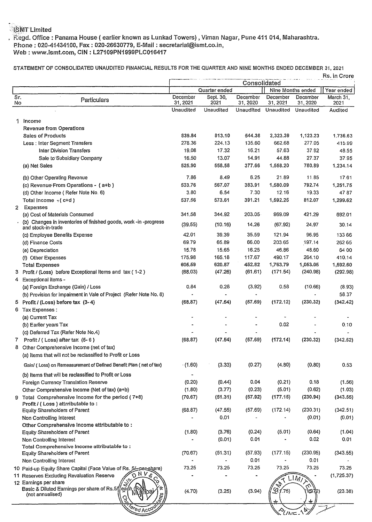# .<br>ISMT Limited

, Regd. Office: Panama House (earlier known as Lunkad Towers), Viman Nagar, Pune 411 014, Maharashtra. Phone: 020-41434100, Fax: 020-26630779, E-Mail: secretarial@ismt.co.in, Web: www.ismt.com, CIN: L27109PN1999PLC016417

STATEMENT OF CONSOLIDATED UNAUDITED FINANCIAL RESULTS FOR THE QUARTER AND NINE MONTHS ENDED DECEMBER 31,2021

| Quarter ended<br>Year ended<br>Nine Months ended<br>Sr.<br>December<br>December<br>Sept. 30,<br>December<br>December<br>March 31.<br>Particulars<br>31, 2021<br>2021<br>31, 2021<br>No<br>31, 2020<br>31, 2020<br>2021<br><b>Unaudited</b><br>Unaudited<br>Unaudited<br>Unaudited<br>Unaudited<br>Audited<br>1.<br>Income<br>Revenue from Operations<br>839.84<br>813.10<br><b>Sales of Products</b><br>544.38<br>2,323.39<br>1,123.23<br>1.736.63<br>278.36<br>224.13<br>135.60<br>662.68<br>277.05<br>Less : Inter Segment Transfers<br>415.99<br>19.08<br>17.32<br>16.21<br>57.63<br>37.92<br><b>Inter Division Transfers</b><br>48.55<br>13.07<br>16.50<br>14.91<br>44.88<br>27.37<br>Sale to Subsidiary Company<br>37.95<br>(a) Net Sales<br>525.90<br>558.58<br>377.66<br>1,558.20<br>780.89<br>1,234.14<br>7.86<br>8.49<br>6.25<br>21.89<br>11.85<br>17.61<br>(b) Other Operating Revenue<br>383.91<br>1,580.09<br>533.76<br>567.07<br>792.74<br>(c) Revenue From Operations - (a+b)<br>1,251.75<br>3.80<br>6.54<br>7.30<br>12.16<br>19.33<br>4787<br>(d) Other Income (Refer Note No. 6)<br>537.56<br>573.61<br>391.21<br>1,592.25<br>812.07<br>Total income $-(c+d)$<br>1,299.62<br>Expenses<br>$\mathbf{2}$<br>341.58<br>203.05<br>344.92<br>969.09<br>421.29<br>(a) Cost of Materials Consumed<br>692.01<br>(b) Changes in inventories of finished goods, work -in -progress<br>(39.55)<br>(10.16)<br>14.26<br>(67.92)<br>24.97<br>30.14<br>and stock-in-trade<br>42.01<br>35.59<br>39.39<br>121.94<br>96.95<br>133 66<br>(c) Employee Benefits Expense<br>69.79<br>65.89<br>66.00<br>203.65<br>197.14<br>262 65<br>(d) Finance Costs<br>15.78<br>15.65<br>16.25<br>46.86<br>48.60<br>64 00<br>(e) Depreciation<br>175.98<br>165.18<br>117.67<br>490.17<br>264.10<br>410.14<br>(f) Other Expenses<br>605.59<br>620.87<br>452.82<br>1,053.05<br>1,763.79<br>1,592.60<br><b>Total Expenses</b><br>(68.03)<br>(47.26)<br>(61.61)<br>(171.54)<br>3 Profit / (Loss) before Exceptional Items and tax (1-2)<br>(240.98)<br>(292.98)<br>4 Exceptional items -<br>0.84<br>0.28<br>(3.92)<br>0.58<br>(10.66)<br>(8.93)<br>(a) Foreign Exchange (Gain) / Loss<br>58.37<br>(b) Provision for Impairment in Vale of Project (Refer Note No. 8)<br>(57.69)<br>(172.12)<br>(230.32)<br>(342.42)<br>5 Profit / (Loss) before tax (3-4)<br>(68.87)<br>(47.54)<br>6 Tax Expenses :<br>(a) Current Tax<br>0.02<br>0.10<br>(b) Earlier years Tax<br>(c) Deferred Tax (Refer Note No.4)<br>(68.87)<br>(47.54)<br>(57.69)<br>(172.14)<br>(230.32)<br>Profit / (Loss) after tax $(5-6)$<br>(342.52)<br>7<br>8 Other Comprehensive Income (net of tax)<br>(a) Items that will not be reclassified to Profit or Loss<br>(1.60)<br>(3.33)<br>(0.80)<br>0.53<br>Gain/ (Loss) on Remeasurement of Defined Benefit Plan (net of tax)<br>(0.27)<br>(4.80)<br>(b) Items that will be reclassified to Profit or Loss<br>(0.20)<br>(0.44)<br>0.04<br>(0.21)<br>0.18<br>Foreign Currency Translation Reserve<br>(1.56)<br>(3.77)<br>(5.01)<br>(1.80)<br>(0.23)<br>(0.62)<br>(1.03)<br>Other Comprehensive Income (Net of tax) (a+b)<br>(51.31)<br>(177.15)<br>(230.94)<br>(343.55)<br>9 Total Comprehensive Income for the period $(7+8)$<br>(70.67)<br>(57.92)<br>Profit / (Loss) attrributable to:<br>(68.87)<br>(172.14)<br>(230.31)<br>(342.51)<br>(47.55)<br>(57.69)<br><b>Equity Shareholders of Parent</b><br>0.01<br>(0.01)<br>(0.01)<br>Non Controlling Interest<br>Other Comprehensive Income attributable to:<br>(1.80)<br>(3.76)<br>(0.24)<br>(5.01)<br>(0.64)<br>(1.04)<br><b>Equity Shareholders of Parent</b><br>0.01<br>0.02<br>(0.01)<br>0.01<br>Non Controlling Interest<br>Total Comprehensive Income attributable to:<br>(177.15)<br>(230.95)<br>(51.31)<br>(57.93)<br>(343.55)<br><b>Equity Shareholders of Parent</b><br>(70.67)<br>0.01<br>0.01<br>Non Controlling Interest<br>73.25<br>73.25<br>73.25<br>73.25<br>73.25<br>73.25<br>10 Paid-up Equity Share Capital (Face Value of Rs. 5/-per-share)<br>ONNS<br>11 Reserves Excluding Revaluation Reserve<br>(1,725.37)<br>LIM<br>12 Earnings per share<br>$\mathbf{z}$<br>ನ<br>Basic & Diluted Earnings per share of Rs.5//each<br>$\mathscr{D}_{1.75}$<br>(3.94)<br>(4.70)<br>(3.25)<br>15172)<br>(23.38)<br>(not annualised)<br>$\epsilon_{\nu\mu}$<br>દૂ<br><b>Cred Acco</b><br>$\mathcal{C}_{Unic}$ |  |  | Consolidated |  | Rs. in Crore |
|------------------------------------------------------------------------------------------------------------------------------------------------------------------------------------------------------------------------------------------------------------------------------------------------------------------------------------------------------------------------------------------------------------------------------------------------------------------------------------------------------------------------------------------------------------------------------------------------------------------------------------------------------------------------------------------------------------------------------------------------------------------------------------------------------------------------------------------------------------------------------------------------------------------------------------------------------------------------------------------------------------------------------------------------------------------------------------------------------------------------------------------------------------------------------------------------------------------------------------------------------------------------------------------------------------------------------------------------------------------------------------------------------------------------------------------------------------------------------------------------------------------------------------------------------------------------------------------------------------------------------------------------------------------------------------------------------------------------------------------------------------------------------------------------------------------------------------------------------------------------------------------------------------------------------------------------------------------------------------------------------------------------------------------------------------------------------------------------------------------------------------------------------------------------------------------------------------------------------------------------------------------------------------------------------------------------------------------------------------------------------------------------------------------------------------------------------------------------------------------------------------------------------------------------------------------------------------------------------------------------------------------------------------------------------------------------------------------------------------------------------------------------------------------------------------------------------------------------------------------------------------------------------------------------------------------------------------------------------------------------------------------------------------------------------------------------------------------------------------------------------------------------------------------------------------------------------------------------------------------------------------------------------------------------------------------------------------------------------------------------------------------------------------------------------------------------------------------------------------------------------------------------------------------------------------------------------------------------------------------------------------------------------------------------------------------------------------------------------------------------------------------------------------------------------------------------------------------------------------------------------------------------------------------------------------------------------------------------------------------------------------------------------------------------------------------------------------------------------------------------------------------------------------------------------------------------------------------------------------------------------------------------------------------------------------------------------------------------------------|--|--|--------------|--|--------------|
|                                                                                                                                                                                                                                                                                                                                                                                                                                                                                                                                                                                                                                                                                                                                                                                                                                                                                                                                                                                                                                                                                                                                                                                                                                                                                                                                                                                                                                                                                                                                                                                                                                                                                                                                                                                                                                                                                                                                                                                                                                                                                                                                                                                                                                                                                                                                                                                                                                                                                                                                                                                                                                                                                                                                                                                                                                                                                                                                                                                                                                                                                                                                                                                                                                                                                                                                                                                                                                                                                                                                                                                                                                                                                                                                                                                                                                                                                                                                                                                                                                                                                                                                                                                                                                                                                                                                                            |  |  |              |  |              |
|                                                                                                                                                                                                                                                                                                                                                                                                                                                                                                                                                                                                                                                                                                                                                                                                                                                                                                                                                                                                                                                                                                                                                                                                                                                                                                                                                                                                                                                                                                                                                                                                                                                                                                                                                                                                                                                                                                                                                                                                                                                                                                                                                                                                                                                                                                                                                                                                                                                                                                                                                                                                                                                                                                                                                                                                                                                                                                                                                                                                                                                                                                                                                                                                                                                                                                                                                                                                                                                                                                                                                                                                                                                                                                                                                                                                                                                                                                                                                                                                                                                                                                                                                                                                                                                                                                                                                            |  |  |              |  |              |
|                                                                                                                                                                                                                                                                                                                                                                                                                                                                                                                                                                                                                                                                                                                                                                                                                                                                                                                                                                                                                                                                                                                                                                                                                                                                                                                                                                                                                                                                                                                                                                                                                                                                                                                                                                                                                                                                                                                                                                                                                                                                                                                                                                                                                                                                                                                                                                                                                                                                                                                                                                                                                                                                                                                                                                                                                                                                                                                                                                                                                                                                                                                                                                                                                                                                                                                                                                                                                                                                                                                                                                                                                                                                                                                                                                                                                                                                                                                                                                                                                                                                                                                                                                                                                                                                                                                                                            |  |  |              |  |              |
|                                                                                                                                                                                                                                                                                                                                                                                                                                                                                                                                                                                                                                                                                                                                                                                                                                                                                                                                                                                                                                                                                                                                                                                                                                                                                                                                                                                                                                                                                                                                                                                                                                                                                                                                                                                                                                                                                                                                                                                                                                                                                                                                                                                                                                                                                                                                                                                                                                                                                                                                                                                                                                                                                                                                                                                                                                                                                                                                                                                                                                                                                                                                                                                                                                                                                                                                                                                                                                                                                                                                                                                                                                                                                                                                                                                                                                                                                                                                                                                                                                                                                                                                                                                                                                                                                                                                                            |  |  |              |  |              |
|                                                                                                                                                                                                                                                                                                                                                                                                                                                                                                                                                                                                                                                                                                                                                                                                                                                                                                                                                                                                                                                                                                                                                                                                                                                                                                                                                                                                                                                                                                                                                                                                                                                                                                                                                                                                                                                                                                                                                                                                                                                                                                                                                                                                                                                                                                                                                                                                                                                                                                                                                                                                                                                                                                                                                                                                                                                                                                                                                                                                                                                                                                                                                                                                                                                                                                                                                                                                                                                                                                                                                                                                                                                                                                                                                                                                                                                                                                                                                                                                                                                                                                                                                                                                                                                                                                                                                            |  |  |              |  |              |
|                                                                                                                                                                                                                                                                                                                                                                                                                                                                                                                                                                                                                                                                                                                                                                                                                                                                                                                                                                                                                                                                                                                                                                                                                                                                                                                                                                                                                                                                                                                                                                                                                                                                                                                                                                                                                                                                                                                                                                                                                                                                                                                                                                                                                                                                                                                                                                                                                                                                                                                                                                                                                                                                                                                                                                                                                                                                                                                                                                                                                                                                                                                                                                                                                                                                                                                                                                                                                                                                                                                                                                                                                                                                                                                                                                                                                                                                                                                                                                                                                                                                                                                                                                                                                                                                                                                                                            |  |  |              |  |              |
|                                                                                                                                                                                                                                                                                                                                                                                                                                                                                                                                                                                                                                                                                                                                                                                                                                                                                                                                                                                                                                                                                                                                                                                                                                                                                                                                                                                                                                                                                                                                                                                                                                                                                                                                                                                                                                                                                                                                                                                                                                                                                                                                                                                                                                                                                                                                                                                                                                                                                                                                                                                                                                                                                                                                                                                                                                                                                                                                                                                                                                                                                                                                                                                                                                                                                                                                                                                                                                                                                                                                                                                                                                                                                                                                                                                                                                                                                                                                                                                                                                                                                                                                                                                                                                                                                                                                                            |  |  |              |  |              |
|                                                                                                                                                                                                                                                                                                                                                                                                                                                                                                                                                                                                                                                                                                                                                                                                                                                                                                                                                                                                                                                                                                                                                                                                                                                                                                                                                                                                                                                                                                                                                                                                                                                                                                                                                                                                                                                                                                                                                                                                                                                                                                                                                                                                                                                                                                                                                                                                                                                                                                                                                                                                                                                                                                                                                                                                                                                                                                                                                                                                                                                                                                                                                                                                                                                                                                                                                                                                                                                                                                                                                                                                                                                                                                                                                                                                                                                                                                                                                                                                                                                                                                                                                                                                                                                                                                                                                            |  |  |              |  |              |
|                                                                                                                                                                                                                                                                                                                                                                                                                                                                                                                                                                                                                                                                                                                                                                                                                                                                                                                                                                                                                                                                                                                                                                                                                                                                                                                                                                                                                                                                                                                                                                                                                                                                                                                                                                                                                                                                                                                                                                                                                                                                                                                                                                                                                                                                                                                                                                                                                                                                                                                                                                                                                                                                                                                                                                                                                                                                                                                                                                                                                                                                                                                                                                                                                                                                                                                                                                                                                                                                                                                                                                                                                                                                                                                                                                                                                                                                                                                                                                                                                                                                                                                                                                                                                                                                                                                                                            |  |  |              |  |              |
|                                                                                                                                                                                                                                                                                                                                                                                                                                                                                                                                                                                                                                                                                                                                                                                                                                                                                                                                                                                                                                                                                                                                                                                                                                                                                                                                                                                                                                                                                                                                                                                                                                                                                                                                                                                                                                                                                                                                                                                                                                                                                                                                                                                                                                                                                                                                                                                                                                                                                                                                                                                                                                                                                                                                                                                                                                                                                                                                                                                                                                                                                                                                                                                                                                                                                                                                                                                                                                                                                                                                                                                                                                                                                                                                                                                                                                                                                                                                                                                                                                                                                                                                                                                                                                                                                                                                                            |  |  |              |  |              |
|                                                                                                                                                                                                                                                                                                                                                                                                                                                                                                                                                                                                                                                                                                                                                                                                                                                                                                                                                                                                                                                                                                                                                                                                                                                                                                                                                                                                                                                                                                                                                                                                                                                                                                                                                                                                                                                                                                                                                                                                                                                                                                                                                                                                                                                                                                                                                                                                                                                                                                                                                                                                                                                                                                                                                                                                                                                                                                                                                                                                                                                                                                                                                                                                                                                                                                                                                                                                                                                                                                                                                                                                                                                                                                                                                                                                                                                                                                                                                                                                                                                                                                                                                                                                                                                                                                                                                            |  |  |              |  |              |
|                                                                                                                                                                                                                                                                                                                                                                                                                                                                                                                                                                                                                                                                                                                                                                                                                                                                                                                                                                                                                                                                                                                                                                                                                                                                                                                                                                                                                                                                                                                                                                                                                                                                                                                                                                                                                                                                                                                                                                                                                                                                                                                                                                                                                                                                                                                                                                                                                                                                                                                                                                                                                                                                                                                                                                                                                                                                                                                                                                                                                                                                                                                                                                                                                                                                                                                                                                                                                                                                                                                                                                                                                                                                                                                                                                                                                                                                                                                                                                                                                                                                                                                                                                                                                                                                                                                                                            |  |  |              |  |              |
|                                                                                                                                                                                                                                                                                                                                                                                                                                                                                                                                                                                                                                                                                                                                                                                                                                                                                                                                                                                                                                                                                                                                                                                                                                                                                                                                                                                                                                                                                                                                                                                                                                                                                                                                                                                                                                                                                                                                                                                                                                                                                                                                                                                                                                                                                                                                                                                                                                                                                                                                                                                                                                                                                                                                                                                                                                                                                                                                                                                                                                                                                                                                                                                                                                                                                                                                                                                                                                                                                                                                                                                                                                                                                                                                                                                                                                                                                                                                                                                                                                                                                                                                                                                                                                                                                                                                                            |  |  |              |  |              |
|                                                                                                                                                                                                                                                                                                                                                                                                                                                                                                                                                                                                                                                                                                                                                                                                                                                                                                                                                                                                                                                                                                                                                                                                                                                                                                                                                                                                                                                                                                                                                                                                                                                                                                                                                                                                                                                                                                                                                                                                                                                                                                                                                                                                                                                                                                                                                                                                                                                                                                                                                                                                                                                                                                                                                                                                                                                                                                                                                                                                                                                                                                                                                                                                                                                                                                                                                                                                                                                                                                                                                                                                                                                                                                                                                                                                                                                                                                                                                                                                                                                                                                                                                                                                                                                                                                                                                            |  |  |              |  |              |
|                                                                                                                                                                                                                                                                                                                                                                                                                                                                                                                                                                                                                                                                                                                                                                                                                                                                                                                                                                                                                                                                                                                                                                                                                                                                                                                                                                                                                                                                                                                                                                                                                                                                                                                                                                                                                                                                                                                                                                                                                                                                                                                                                                                                                                                                                                                                                                                                                                                                                                                                                                                                                                                                                                                                                                                                                                                                                                                                                                                                                                                                                                                                                                                                                                                                                                                                                                                                                                                                                                                                                                                                                                                                                                                                                                                                                                                                                                                                                                                                                                                                                                                                                                                                                                                                                                                                                            |  |  |              |  |              |
|                                                                                                                                                                                                                                                                                                                                                                                                                                                                                                                                                                                                                                                                                                                                                                                                                                                                                                                                                                                                                                                                                                                                                                                                                                                                                                                                                                                                                                                                                                                                                                                                                                                                                                                                                                                                                                                                                                                                                                                                                                                                                                                                                                                                                                                                                                                                                                                                                                                                                                                                                                                                                                                                                                                                                                                                                                                                                                                                                                                                                                                                                                                                                                                                                                                                                                                                                                                                                                                                                                                                                                                                                                                                                                                                                                                                                                                                                                                                                                                                                                                                                                                                                                                                                                                                                                                                                            |  |  |              |  |              |
|                                                                                                                                                                                                                                                                                                                                                                                                                                                                                                                                                                                                                                                                                                                                                                                                                                                                                                                                                                                                                                                                                                                                                                                                                                                                                                                                                                                                                                                                                                                                                                                                                                                                                                                                                                                                                                                                                                                                                                                                                                                                                                                                                                                                                                                                                                                                                                                                                                                                                                                                                                                                                                                                                                                                                                                                                                                                                                                                                                                                                                                                                                                                                                                                                                                                                                                                                                                                                                                                                                                                                                                                                                                                                                                                                                                                                                                                                                                                                                                                                                                                                                                                                                                                                                                                                                                                                            |  |  |              |  |              |
|                                                                                                                                                                                                                                                                                                                                                                                                                                                                                                                                                                                                                                                                                                                                                                                                                                                                                                                                                                                                                                                                                                                                                                                                                                                                                                                                                                                                                                                                                                                                                                                                                                                                                                                                                                                                                                                                                                                                                                                                                                                                                                                                                                                                                                                                                                                                                                                                                                                                                                                                                                                                                                                                                                                                                                                                                                                                                                                                                                                                                                                                                                                                                                                                                                                                                                                                                                                                                                                                                                                                                                                                                                                                                                                                                                                                                                                                                                                                                                                                                                                                                                                                                                                                                                                                                                                                                            |  |  |              |  |              |
|                                                                                                                                                                                                                                                                                                                                                                                                                                                                                                                                                                                                                                                                                                                                                                                                                                                                                                                                                                                                                                                                                                                                                                                                                                                                                                                                                                                                                                                                                                                                                                                                                                                                                                                                                                                                                                                                                                                                                                                                                                                                                                                                                                                                                                                                                                                                                                                                                                                                                                                                                                                                                                                                                                                                                                                                                                                                                                                                                                                                                                                                                                                                                                                                                                                                                                                                                                                                                                                                                                                                                                                                                                                                                                                                                                                                                                                                                                                                                                                                                                                                                                                                                                                                                                                                                                                                                            |  |  |              |  |              |
|                                                                                                                                                                                                                                                                                                                                                                                                                                                                                                                                                                                                                                                                                                                                                                                                                                                                                                                                                                                                                                                                                                                                                                                                                                                                                                                                                                                                                                                                                                                                                                                                                                                                                                                                                                                                                                                                                                                                                                                                                                                                                                                                                                                                                                                                                                                                                                                                                                                                                                                                                                                                                                                                                                                                                                                                                                                                                                                                                                                                                                                                                                                                                                                                                                                                                                                                                                                                                                                                                                                                                                                                                                                                                                                                                                                                                                                                                                                                                                                                                                                                                                                                                                                                                                                                                                                                                            |  |  |              |  |              |
|                                                                                                                                                                                                                                                                                                                                                                                                                                                                                                                                                                                                                                                                                                                                                                                                                                                                                                                                                                                                                                                                                                                                                                                                                                                                                                                                                                                                                                                                                                                                                                                                                                                                                                                                                                                                                                                                                                                                                                                                                                                                                                                                                                                                                                                                                                                                                                                                                                                                                                                                                                                                                                                                                                                                                                                                                                                                                                                                                                                                                                                                                                                                                                                                                                                                                                                                                                                                                                                                                                                                                                                                                                                                                                                                                                                                                                                                                                                                                                                                                                                                                                                                                                                                                                                                                                                                                            |  |  |              |  |              |
|                                                                                                                                                                                                                                                                                                                                                                                                                                                                                                                                                                                                                                                                                                                                                                                                                                                                                                                                                                                                                                                                                                                                                                                                                                                                                                                                                                                                                                                                                                                                                                                                                                                                                                                                                                                                                                                                                                                                                                                                                                                                                                                                                                                                                                                                                                                                                                                                                                                                                                                                                                                                                                                                                                                                                                                                                                                                                                                                                                                                                                                                                                                                                                                                                                                                                                                                                                                                                                                                                                                                                                                                                                                                                                                                                                                                                                                                                                                                                                                                                                                                                                                                                                                                                                                                                                                                                            |  |  |              |  |              |
|                                                                                                                                                                                                                                                                                                                                                                                                                                                                                                                                                                                                                                                                                                                                                                                                                                                                                                                                                                                                                                                                                                                                                                                                                                                                                                                                                                                                                                                                                                                                                                                                                                                                                                                                                                                                                                                                                                                                                                                                                                                                                                                                                                                                                                                                                                                                                                                                                                                                                                                                                                                                                                                                                                                                                                                                                                                                                                                                                                                                                                                                                                                                                                                                                                                                                                                                                                                                                                                                                                                                                                                                                                                                                                                                                                                                                                                                                                                                                                                                                                                                                                                                                                                                                                                                                                                                                            |  |  |              |  |              |
|                                                                                                                                                                                                                                                                                                                                                                                                                                                                                                                                                                                                                                                                                                                                                                                                                                                                                                                                                                                                                                                                                                                                                                                                                                                                                                                                                                                                                                                                                                                                                                                                                                                                                                                                                                                                                                                                                                                                                                                                                                                                                                                                                                                                                                                                                                                                                                                                                                                                                                                                                                                                                                                                                                                                                                                                                                                                                                                                                                                                                                                                                                                                                                                                                                                                                                                                                                                                                                                                                                                                                                                                                                                                                                                                                                                                                                                                                                                                                                                                                                                                                                                                                                                                                                                                                                                                                            |  |  |              |  |              |
|                                                                                                                                                                                                                                                                                                                                                                                                                                                                                                                                                                                                                                                                                                                                                                                                                                                                                                                                                                                                                                                                                                                                                                                                                                                                                                                                                                                                                                                                                                                                                                                                                                                                                                                                                                                                                                                                                                                                                                                                                                                                                                                                                                                                                                                                                                                                                                                                                                                                                                                                                                                                                                                                                                                                                                                                                                                                                                                                                                                                                                                                                                                                                                                                                                                                                                                                                                                                                                                                                                                                                                                                                                                                                                                                                                                                                                                                                                                                                                                                                                                                                                                                                                                                                                                                                                                                                            |  |  |              |  |              |
|                                                                                                                                                                                                                                                                                                                                                                                                                                                                                                                                                                                                                                                                                                                                                                                                                                                                                                                                                                                                                                                                                                                                                                                                                                                                                                                                                                                                                                                                                                                                                                                                                                                                                                                                                                                                                                                                                                                                                                                                                                                                                                                                                                                                                                                                                                                                                                                                                                                                                                                                                                                                                                                                                                                                                                                                                                                                                                                                                                                                                                                                                                                                                                                                                                                                                                                                                                                                                                                                                                                                                                                                                                                                                                                                                                                                                                                                                                                                                                                                                                                                                                                                                                                                                                                                                                                                                            |  |  |              |  |              |
|                                                                                                                                                                                                                                                                                                                                                                                                                                                                                                                                                                                                                                                                                                                                                                                                                                                                                                                                                                                                                                                                                                                                                                                                                                                                                                                                                                                                                                                                                                                                                                                                                                                                                                                                                                                                                                                                                                                                                                                                                                                                                                                                                                                                                                                                                                                                                                                                                                                                                                                                                                                                                                                                                                                                                                                                                                                                                                                                                                                                                                                                                                                                                                                                                                                                                                                                                                                                                                                                                                                                                                                                                                                                                                                                                                                                                                                                                                                                                                                                                                                                                                                                                                                                                                                                                                                                                            |  |  |              |  |              |
|                                                                                                                                                                                                                                                                                                                                                                                                                                                                                                                                                                                                                                                                                                                                                                                                                                                                                                                                                                                                                                                                                                                                                                                                                                                                                                                                                                                                                                                                                                                                                                                                                                                                                                                                                                                                                                                                                                                                                                                                                                                                                                                                                                                                                                                                                                                                                                                                                                                                                                                                                                                                                                                                                                                                                                                                                                                                                                                                                                                                                                                                                                                                                                                                                                                                                                                                                                                                                                                                                                                                                                                                                                                                                                                                                                                                                                                                                                                                                                                                                                                                                                                                                                                                                                                                                                                                                            |  |  |              |  |              |
|                                                                                                                                                                                                                                                                                                                                                                                                                                                                                                                                                                                                                                                                                                                                                                                                                                                                                                                                                                                                                                                                                                                                                                                                                                                                                                                                                                                                                                                                                                                                                                                                                                                                                                                                                                                                                                                                                                                                                                                                                                                                                                                                                                                                                                                                                                                                                                                                                                                                                                                                                                                                                                                                                                                                                                                                                                                                                                                                                                                                                                                                                                                                                                                                                                                                                                                                                                                                                                                                                                                                                                                                                                                                                                                                                                                                                                                                                                                                                                                                                                                                                                                                                                                                                                                                                                                                                            |  |  |              |  |              |
|                                                                                                                                                                                                                                                                                                                                                                                                                                                                                                                                                                                                                                                                                                                                                                                                                                                                                                                                                                                                                                                                                                                                                                                                                                                                                                                                                                                                                                                                                                                                                                                                                                                                                                                                                                                                                                                                                                                                                                                                                                                                                                                                                                                                                                                                                                                                                                                                                                                                                                                                                                                                                                                                                                                                                                                                                                                                                                                                                                                                                                                                                                                                                                                                                                                                                                                                                                                                                                                                                                                                                                                                                                                                                                                                                                                                                                                                                                                                                                                                                                                                                                                                                                                                                                                                                                                                                            |  |  |              |  |              |
|                                                                                                                                                                                                                                                                                                                                                                                                                                                                                                                                                                                                                                                                                                                                                                                                                                                                                                                                                                                                                                                                                                                                                                                                                                                                                                                                                                                                                                                                                                                                                                                                                                                                                                                                                                                                                                                                                                                                                                                                                                                                                                                                                                                                                                                                                                                                                                                                                                                                                                                                                                                                                                                                                                                                                                                                                                                                                                                                                                                                                                                                                                                                                                                                                                                                                                                                                                                                                                                                                                                                                                                                                                                                                                                                                                                                                                                                                                                                                                                                                                                                                                                                                                                                                                                                                                                                                            |  |  |              |  |              |
|                                                                                                                                                                                                                                                                                                                                                                                                                                                                                                                                                                                                                                                                                                                                                                                                                                                                                                                                                                                                                                                                                                                                                                                                                                                                                                                                                                                                                                                                                                                                                                                                                                                                                                                                                                                                                                                                                                                                                                                                                                                                                                                                                                                                                                                                                                                                                                                                                                                                                                                                                                                                                                                                                                                                                                                                                                                                                                                                                                                                                                                                                                                                                                                                                                                                                                                                                                                                                                                                                                                                                                                                                                                                                                                                                                                                                                                                                                                                                                                                                                                                                                                                                                                                                                                                                                                                                            |  |  |              |  |              |
|                                                                                                                                                                                                                                                                                                                                                                                                                                                                                                                                                                                                                                                                                                                                                                                                                                                                                                                                                                                                                                                                                                                                                                                                                                                                                                                                                                                                                                                                                                                                                                                                                                                                                                                                                                                                                                                                                                                                                                                                                                                                                                                                                                                                                                                                                                                                                                                                                                                                                                                                                                                                                                                                                                                                                                                                                                                                                                                                                                                                                                                                                                                                                                                                                                                                                                                                                                                                                                                                                                                                                                                                                                                                                                                                                                                                                                                                                                                                                                                                                                                                                                                                                                                                                                                                                                                                                            |  |  |              |  |              |
|                                                                                                                                                                                                                                                                                                                                                                                                                                                                                                                                                                                                                                                                                                                                                                                                                                                                                                                                                                                                                                                                                                                                                                                                                                                                                                                                                                                                                                                                                                                                                                                                                                                                                                                                                                                                                                                                                                                                                                                                                                                                                                                                                                                                                                                                                                                                                                                                                                                                                                                                                                                                                                                                                                                                                                                                                                                                                                                                                                                                                                                                                                                                                                                                                                                                                                                                                                                                                                                                                                                                                                                                                                                                                                                                                                                                                                                                                                                                                                                                                                                                                                                                                                                                                                                                                                                                                            |  |  |              |  |              |
|                                                                                                                                                                                                                                                                                                                                                                                                                                                                                                                                                                                                                                                                                                                                                                                                                                                                                                                                                                                                                                                                                                                                                                                                                                                                                                                                                                                                                                                                                                                                                                                                                                                                                                                                                                                                                                                                                                                                                                                                                                                                                                                                                                                                                                                                                                                                                                                                                                                                                                                                                                                                                                                                                                                                                                                                                                                                                                                                                                                                                                                                                                                                                                                                                                                                                                                                                                                                                                                                                                                                                                                                                                                                                                                                                                                                                                                                                                                                                                                                                                                                                                                                                                                                                                                                                                                                                            |  |  |              |  |              |
|                                                                                                                                                                                                                                                                                                                                                                                                                                                                                                                                                                                                                                                                                                                                                                                                                                                                                                                                                                                                                                                                                                                                                                                                                                                                                                                                                                                                                                                                                                                                                                                                                                                                                                                                                                                                                                                                                                                                                                                                                                                                                                                                                                                                                                                                                                                                                                                                                                                                                                                                                                                                                                                                                                                                                                                                                                                                                                                                                                                                                                                                                                                                                                                                                                                                                                                                                                                                                                                                                                                                                                                                                                                                                                                                                                                                                                                                                                                                                                                                                                                                                                                                                                                                                                                                                                                                                            |  |  |              |  |              |
|                                                                                                                                                                                                                                                                                                                                                                                                                                                                                                                                                                                                                                                                                                                                                                                                                                                                                                                                                                                                                                                                                                                                                                                                                                                                                                                                                                                                                                                                                                                                                                                                                                                                                                                                                                                                                                                                                                                                                                                                                                                                                                                                                                                                                                                                                                                                                                                                                                                                                                                                                                                                                                                                                                                                                                                                                                                                                                                                                                                                                                                                                                                                                                                                                                                                                                                                                                                                                                                                                                                                                                                                                                                                                                                                                                                                                                                                                                                                                                                                                                                                                                                                                                                                                                                                                                                                                            |  |  |              |  |              |
|                                                                                                                                                                                                                                                                                                                                                                                                                                                                                                                                                                                                                                                                                                                                                                                                                                                                                                                                                                                                                                                                                                                                                                                                                                                                                                                                                                                                                                                                                                                                                                                                                                                                                                                                                                                                                                                                                                                                                                                                                                                                                                                                                                                                                                                                                                                                                                                                                                                                                                                                                                                                                                                                                                                                                                                                                                                                                                                                                                                                                                                                                                                                                                                                                                                                                                                                                                                                                                                                                                                                                                                                                                                                                                                                                                                                                                                                                                                                                                                                                                                                                                                                                                                                                                                                                                                                                            |  |  |              |  |              |
|                                                                                                                                                                                                                                                                                                                                                                                                                                                                                                                                                                                                                                                                                                                                                                                                                                                                                                                                                                                                                                                                                                                                                                                                                                                                                                                                                                                                                                                                                                                                                                                                                                                                                                                                                                                                                                                                                                                                                                                                                                                                                                                                                                                                                                                                                                                                                                                                                                                                                                                                                                                                                                                                                                                                                                                                                                                                                                                                                                                                                                                                                                                                                                                                                                                                                                                                                                                                                                                                                                                                                                                                                                                                                                                                                                                                                                                                                                                                                                                                                                                                                                                                                                                                                                                                                                                                                            |  |  |              |  |              |
|                                                                                                                                                                                                                                                                                                                                                                                                                                                                                                                                                                                                                                                                                                                                                                                                                                                                                                                                                                                                                                                                                                                                                                                                                                                                                                                                                                                                                                                                                                                                                                                                                                                                                                                                                                                                                                                                                                                                                                                                                                                                                                                                                                                                                                                                                                                                                                                                                                                                                                                                                                                                                                                                                                                                                                                                                                                                                                                                                                                                                                                                                                                                                                                                                                                                                                                                                                                                                                                                                                                                                                                                                                                                                                                                                                                                                                                                                                                                                                                                                                                                                                                                                                                                                                                                                                                                                            |  |  |              |  |              |
|                                                                                                                                                                                                                                                                                                                                                                                                                                                                                                                                                                                                                                                                                                                                                                                                                                                                                                                                                                                                                                                                                                                                                                                                                                                                                                                                                                                                                                                                                                                                                                                                                                                                                                                                                                                                                                                                                                                                                                                                                                                                                                                                                                                                                                                                                                                                                                                                                                                                                                                                                                                                                                                                                                                                                                                                                                                                                                                                                                                                                                                                                                                                                                                                                                                                                                                                                                                                                                                                                                                                                                                                                                                                                                                                                                                                                                                                                                                                                                                                                                                                                                                                                                                                                                                                                                                                                            |  |  |              |  |              |
|                                                                                                                                                                                                                                                                                                                                                                                                                                                                                                                                                                                                                                                                                                                                                                                                                                                                                                                                                                                                                                                                                                                                                                                                                                                                                                                                                                                                                                                                                                                                                                                                                                                                                                                                                                                                                                                                                                                                                                                                                                                                                                                                                                                                                                                                                                                                                                                                                                                                                                                                                                                                                                                                                                                                                                                                                                                                                                                                                                                                                                                                                                                                                                                                                                                                                                                                                                                                                                                                                                                                                                                                                                                                                                                                                                                                                                                                                                                                                                                                                                                                                                                                                                                                                                                                                                                                                            |  |  |              |  |              |
|                                                                                                                                                                                                                                                                                                                                                                                                                                                                                                                                                                                                                                                                                                                                                                                                                                                                                                                                                                                                                                                                                                                                                                                                                                                                                                                                                                                                                                                                                                                                                                                                                                                                                                                                                                                                                                                                                                                                                                                                                                                                                                                                                                                                                                                                                                                                                                                                                                                                                                                                                                                                                                                                                                                                                                                                                                                                                                                                                                                                                                                                                                                                                                                                                                                                                                                                                                                                                                                                                                                                                                                                                                                                                                                                                                                                                                                                                                                                                                                                                                                                                                                                                                                                                                                                                                                                                            |  |  |              |  |              |
|                                                                                                                                                                                                                                                                                                                                                                                                                                                                                                                                                                                                                                                                                                                                                                                                                                                                                                                                                                                                                                                                                                                                                                                                                                                                                                                                                                                                                                                                                                                                                                                                                                                                                                                                                                                                                                                                                                                                                                                                                                                                                                                                                                                                                                                                                                                                                                                                                                                                                                                                                                                                                                                                                                                                                                                                                                                                                                                                                                                                                                                                                                                                                                                                                                                                                                                                                                                                                                                                                                                                                                                                                                                                                                                                                                                                                                                                                                                                                                                                                                                                                                                                                                                                                                                                                                                                                            |  |  |              |  |              |
|                                                                                                                                                                                                                                                                                                                                                                                                                                                                                                                                                                                                                                                                                                                                                                                                                                                                                                                                                                                                                                                                                                                                                                                                                                                                                                                                                                                                                                                                                                                                                                                                                                                                                                                                                                                                                                                                                                                                                                                                                                                                                                                                                                                                                                                                                                                                                                                                                                                                                                                                                                                                                                                                                                                                                                                                                                                                                                                                                                                                                                                                                                                                                                                                                                                                                                                                                                                                                                                                                                                                                                                                                                                                                                                                                                                                                                                                                                                                                                                                                                                                                                                                                                                                                                                                                                                                                            |  |  |              |  |              |
|                                                                                                                                                                                                                                                                                                                                                                                                                                                                                                                                                                                                                                                                                                                                                                                                                                                                                                                                                                                                                                                                                                                                                                                                                                                                                                                                                                                                                                                                                                                                                                                                                                                                                                                                                                                                                                                                                                                                                                                                                                                                                                                                                                                                                                                                                                                                                                                                                                                                                                                                                                                                                                                                                                                                                                                                                                                                                                                                                                                                                                                                                                                                                                                                                                                                                                                                                                                                                                                                                                                                                                                                                                                                                                                                                                                                                                                                                                                                                                                                                                                                                                                                                                                                                                                                                                                                                            |  |  |              |  |              |
|                                                                                                                                                                                                                                                                                                                                                                                                                                                                                                                                                                                                                                                                                                                                                                                                                                                                                                                                                                                                                                                                                                                                                                                                                                                                                                                                                                                                                                                                                                                                                                                                                                                                                                                                                                                                                                                                                                                                                                                                                                                                                                                                                                                                                                                                                                                                                                                                                                                                                                                                                                                                                                                                                                                                                                                                                                                                                                                                                                                                                                                                                                                                                                                                                                                                                                                                                                                                                                                                                                                                                                                                                                                                                                                                                                                                                                                                                                                                                                                                                                                                                                                                                                                                                                                                                                                                                            |  |  |              |  |              |
|                                                                                                                                                                                                                                                                                                                                                                                                                                                                                                                                                                                                                                                                                                                                                                                                                                                                                                                                                                                                                                                                                                                                                                                                                                                                                                                                                                                                                                                                                                                                                                                                                                                                                                                                                                                                                                                                                                                                                                                                                                                                                                                                                                                                                                                                                                                                                                                                                                                                                                                                                                                                                                                                                                                                                                                                                                                                                                                                                                                                                                                                                                                                                                                                                                                                                                                                                                                                                                                                                                                                                                                                                                                                                                                                                                                                                                                                                                                                                                                                                                                                                                                                                                                                                                                                                                                                                            |  |  |              |  |              |
|                                                                                                                                                                                                                                                                                                                                                                                                                                                                                                                                                                                                                                                                                                                                                                                                                                                                                                                                                                                                                                                                                                                                                                                                                                                                                                                                                                                                                                                                                                                                                                                                                                                                                                                                                                                                                                                                                                                                                                                                                                                                                                                                                                                                                                                                                                                                                                                                                                                                                                                                                                                                                                                                                                                                                                                                                                                                                                                                                                                                                                                                                                                                                                                                                                                                                                                                                                                                                                                                                                                                                                                                                                                                                                                                                                                                                                                                                                                                                                                                                                                                                                                                                                                                                                                                                                                                                            |  |  |              |  |              |
|                                                                                                                                                                                                                                                                                                                                                                                                                                                                                                                                                                                                                                                                                                                                                                                                                                                                                                                                                                                                                                                                                                                                                                                                                                                                                                                                                                                                                                                                                                                                                                                                                                                                                                                                                                                                                                                                                                                                                                                                                                                                                                                                                                                                                                                                                                                                                                                                                                                                                                                                                                                                                                                                                                                                                                                                                                                                                                                                                                                                                                                                                                                                                                                                                                                                                                                                                                                                                                                                                                                                                                                                                                                                                                                                                                                                                                                                                                                                                                                                                                                                                                                                                                                                                                                                                                                                                            |  |  |              |  |              |
|                                                                                                                                                                                                                                                                                                                                                                                                                                                                                                                                                                                                                                                                                                                                                                                                                                                                                                                                                                                                                                                                                                                                                                                                                                                                                                                                                                                                                                                                                                                                                                                                                                                                                                                                                                                                                                                                                                                                                                                                                                                                                                                                                                                                                                                                                                                                                                                                                                                                                                                                                                                                                                                                                                                                                                                                                                                                                                                                                                                                                                                                                                                                                                                                                                                                                                                                                                                                                                                                                                                                                                                                                                                                                                                                                                                                                                                                                                                                                                                                                                                                                                                                                                                                                                                                                                                                                            |  |  |              |  |              |
|                                                                                                                                                                                                                                                                                                                                                                                                                                                                                                                                                                                                                                                                                                                                                                                                                                                                                                                                                                                                                                                                                                                                                                                                                                                                                                                                                                                                                                                                                                                                                                                                                                                                                                                                                                                                                                                                                                                                                                                                                                                                                                                                                                                                                                                                                                                                                                                                                                                                                                                                                                                                                                                                                                                                                                                                                                                                                                                                                                                                                                                                                                                                                                                                                                                                                                                                                                                                                                                                                                                                                                                                                                                                                                                                                                                                                                                                                                                                                                                                                                                                                                                                                                                                                                                                                                                                                            |  |  |              |  |              |
|                                                                                                                                                                                                                                                                                                                                                                                                                                                                                                                                                                                                                                                                                                                                                                                                                                                                                                                                                                                                                                                                                                                                                                                                                                                                                                                                                                                                                                                                                                                                                                                                                                                                                                                                                                                                                                                                                                                                                                                                                                                                                                                                                                                                                                                                                                                                                                                                                                                                                                                                                                                                                                                                                                                                                                                                                                                                                                                                                                                                                                                                                                                                                                                                                                                                                                                                                                                                                                                                                                                                                                                                                                                                                                                                                                                                                                                                                                                                                                                                                                                                                                                                                                                                                                                                                                                                                            |  |  |              |  |              |
|                                                                                                                                                                                                                                                                                                                                                                                                                                                                                                                                                                                                                                                                                                                                                                                                                                                                                                                                                                                                                                                                                                                                                                                                                                                                                                                                                                                                                                                                                                                                                                                                                                                                                                                                                                                                                                                                                                                                                                                                                                                                                                                                                                                                                                                                                                                                                                                                                                                                                                                                                                                                                                                                                                                                                                                                                                                                                                                                                                                                                                                                                                                                                                                                                                                                                                                                                                                                                                                                                                                                                                                                                                                                                                                                                                                                                                                                                                                                                                                                                                                                                                                                                                                                                                                                                                                                                            |  |  |              |  |              |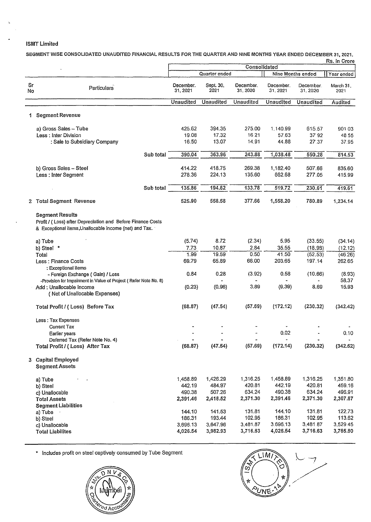#### ISMT Limited

SEGMENT WISE CONSOLIDATED UNAUDITED FINANCIAL RESULTS FOR THE QUARTER AND NINE MONTHS YEAR ENDED DECEMBER 31, 2021.  $R_{\rm B}$ .  $\sim$ 

|          |                                                                                                                                                 |                       |                   |                       |                       |                          | res, in Grore     |
|----------|-------------------------------------------------------------------------------------------------------------------------------------------------|-----------------------|-------------------|-----------------------|-----------------------|--------------------------|-------------------|
|          |                                                                                                                                                 | Consolidated          |                   |                       |                       |                          |                   |
|          |                                                                                                                                                 |                       | Quartor ended     |                       |                       | <b>Nine Months ended</b> | Year ended        |
| Sг<br>No | <b>Particulars</b>                                                                                                                              | December.<br>31, 2021 | Sept. 30,<br>2021 | December.<br>31, 2020 | December.<br>31, 2021 | December.<br>31, 2020    | March 31.<br>2021 |
|          |                                                                                                                                                 | Unaudited             | Unaudited         | <b>Unaudited</b>      | <b>Unaudited</b>      | Unaudited                | Audited           |
|          |                                                                                                                                                 |                       |                   |                       |                       |                          |                   |
| 1        | <b>Segment Revenue</b>                                                                                                                          |                       |                   |                       |                       |                          |                   |
|          | a) Gross Sales - Tube                                                                                                                           | 425.62                | 394.35            | 275.00                | 1.140.99              | 615.57                   | 90103             |
|          | Less: Inter Division                                                                                                                            | 19.08                 | 17.32             | 16.21                 | 57.63                 | 3792                     | 48.55             |
|          | : Sale to Subsidiary Company                                                                                                                    | 16.50                 | 13.07             | 14.91                 | 44.88                 | 27.37                    | 37.95             |
|          |                                                                                                                                                 |                       |                   |                       |                       |                          |                   |
|          | Sub total                                                                                                                                       | 390.04                | 363.96            | 243.88                | 1,038.48              | 550.28                   | 814.53            |
|          |                                                                                                                                                 |                       |                   |                       |                       |                          |                   |
|          | b) Gross Sales - Steel                                                                                                                          | 414.22                | 418.75            | 269.38                | 1.182.40              | 507.66                   | 835.60            |
|          | Less: Inter Segment                                                                                                                             | 278.36                | 224.13            | 135.60                | 662.68                | 277.05                   | 415.99            |
|          |                                                                                                                                                 |                       |                   |                       |                       |                          |                   |
|          | Sub total                                                                                                                                       | 135.86                | 194.62            | 133.78                | 519.72                | 230.61                   | 419.61            |
|          |                                                                                                                                                 |                       |                   |                       |                       |                          |                   |
|          | 2 Total Segment Revenue                                                                                                                         | 525.90                | 558.58            | 377.66                | 1,558.20              | 780.89                   | 1,234.14          |
|          |                                                                                                                                                 |                       |                   |                       |                       |                          |                   |
|          | <b>Segment Results</b><br>Profit / (Loss) after Depreciation and Before Finance Costs<br>& Exceptional items, Unallocable income (net) and Tax. |                       |                   |                       |                       |                          |                   |
|          | a) Tube                                                                                                                                         | (5.74)                | 8.72              | (2.34)                | 5.95                  | (33.55)                  | (34.14)           |
|          |                                                                                                                                                 |                       | 10.87             | 2.84                  |                       |                          |                   |
|          | b) Steel *                                                                                                                                      | 7.73                  |                   |                       | 35.55                 | (18.98)                  | (12.12)           |
|          | Total                                                                                                                                           | 1.99                  | 19.59             | 0.50                  | 41.50                 | (52.53)                  | (46.26)           |
|          | Less: Finance Costs                                                                                                                             | 69.79                 | 65.89             | 66.00                 | 203,65                | 197.14                   | 262.65            |
|          | : Exceptional items                                                                                                                             |                       |                   |                       |                       |                          |                   |
|          | - Foreign Exchange (Gain) / Loss                                                                                                                | 0.84                  | 0.28              | (3.92)                | 0.58                  | (10.66)                  | (8.93)            |
|          | -Provision for Impairment in Value of Project (Refer Note No. 8)                                                                                |                       |                   |                       |                       |                          | 58.37             |
|          | Add: Unallocable Income                                                                                                                         | (0.23)                | (0.96)            | 3.89                  | (9.39)                | 8.69                     | 15.93             |
|          | (Net of Unallocable Expenses)                                                                                                                   |                       |                   |                       |                       |                          |                   |
|          |                                                                                                                                                 |                       |                   |                       |                       |                          |                   |
|          | Total Profit / (Loss) Before Tax                                                                                                                | (68.87)               | (47.54)           | (57.69)               | (172.12)              | (230.32)                 | (342.42)          |
|          |                                                                                                                                                 |                       |                   |                       |                       |                          |                   |
|          | Less: Tax Expenses                                                                                                                              |                       |                   |                       |                       |                          |                   |
|          | Current Tax                                                                                                                                     |                       |                   |                       |                       |                          |                   |
|          | Earlier years                                                                                                                                   |                       |                   |                       | 0.02                  |                          | 0.10              |
|          | Deferred Tax (Refer Note No. 4)                                                                                                                 |                       |                   |                       |                       |                          |                   |
|          | Total Profit / (Loss) After Tax                                                                                                                 | (68.87)               | (47.54)           | (57.69)               | (172.14)              | (230.32)                 | (342.52)          |
|          | 3 Capital Employed<br><b>Segment Assets</b>                                                                                                     |                       |                   |                       |                       |                          |                   |
|          | a) Tube                                                                                                                                         | 1,458.89              | 1,426.29          | 1,316.25              | 1,458.89              | 1,316.25                 | 1,351.80          |
|          | b) Steel                                                                                                                                        | 442.19                | 484.97            | 420.81                | 442.19                | 420.81                   | 459.16            |
|          | c) Unallocable                                                                                                                                  | 490.38                | 507.26            | 634.24                | 490.38                | 634.24                   | 496.91            |
|          |                                                                                                                                                 | 2,391.46              | 2,418.52          | 2,371.30              | 2,391.46              | 2,371.30                 | 2,307.87          |
|          | <b>Total Assets</b>                                                                                                                             |                       |                   |                       |                       |                          |                   |
|          | <b>Segment Liabilities</b>                                                                                                                      | 144.10                | 141.53            | 131.81                | 144.10                | 131.81                   | 122.73            |
|          | a) Tube                                                                                                                                         |                       |                   |                       |                       |                          |                   |
|          | b) Steel                                                                                                                                        | 186.31                | 193.44            | 102.95                | 186,31                | 102.95                   | 113.62            |
|          | c) Unallocable                                                                                                                                  | 3,696.13              | 3,647.96          | 3,481.87              | 3.696.13              | 3,481.87                 | 3,529.45          |
|          | <b>Total Liabilites</b>                                                                                                                         | 4,026.54              | 3,982.93          | 3,716.63              | 4,026.54              | 3,716.63                 | 3,765.80          |
|          |                                                                                                                                                 |                       |                   |                       |                       |                          |                   |

\* Includes profit on steel captively consumed by Tube Segment *\..\_.-!* 



/ / Ø **PUNE**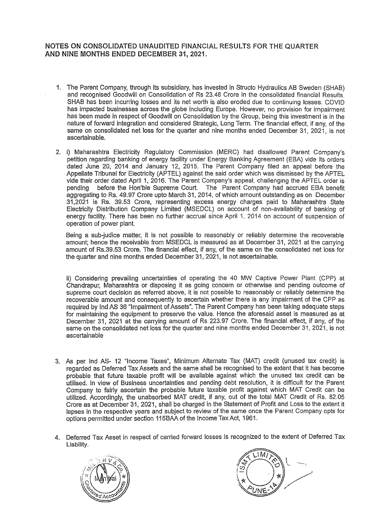#### NOTES ON CONSOLIDATED UNAUDITED FINANCIAL RESULTS FOR THE QUARTER AND NINE MONTHS ENDED DECEMBER 31, 2021.

- 1. The Parent Company, through its subsidiary, has invested in Structo Hydraulics AB Sweden (SHAB) and recognised Goodwill on Consolidation of Rs 23.48 Crore in the consolidated financial Results. SHAB has been incurring losses and its net worth is also eroded due to continuing losses. COVID has impacted businesses across the globe including Europe. However, no provision for impairment has been made in respect of Goodwill on Consolidation by the Group, being this investment is in the nature of forward integration and considered Strategic, Long Term. The financial effect, if any, of the same on consolidated net loss for the quarter and nine months ended December 31, 2021, is not ascertainable.
- 2. i) Maharashtra Electricity Regulatory Commission (MERC) had disallowed Parent Company's petition regarding banking of energy facility under Energy Banking Agreement (EBA) vide its orders dated June 20, 2014 and January 12, 2015. The Parent Company filed an appeal before the Appellate Tribunal for Electricity (APTEL) against the said order which was dismissed by the APTEL vide their order dated April 1, 2016. The Parent Company's appeal, challenging the APTEL order is pending before the Hon'ble Supreme Court. The Parent Company had accrued EBA benefit aggregating to Rs. 49.97 Crore upto March 31, 2014, of which amount outstanding as on December 31,2021 is Rs. 39.53 Crore, representing excess energy charges paid to Maharashtra State Electricity Distribution Company Limited (MSEDCL) on account of non-availability of banking of energy facility. There has been no further accrual since April 1, 2014 on account of suspension of operation of power plant.

Being a sub-judice matter, it is not possible to reasonably or reliably determine the recoverable amount; hence the receivable from MSEDCL is measured as at December 31, 2021 at the carrying amount of Rs.39.53 Crore. The financial effect, if any, of the same on the consolidated net loss for the quarter and nine months ended December 31, 2021, is not ascertainable.

ii) Considering prevailing uncertainties of operating the 40 MW Captive Power Plant (CPP) at Chandrapur, Maharashtra or disposing it as going concern or otherwise and pending outcome of supreme court decision as referred above, it is not possible to reasonably or reliably determine the recoverable amount and consequently to ascertain whether there is any impairment of the CPP as required by lnd AS 36 "Impairment of Assets". The Parent Company has been taking adequate steps for maintaining the equipment to preserve the value. Hence the aforesaid asset is measured as at December 31, 2021 at the carrying amount of Rs 223.97 Crore. The financial effect, if any, of the same on the consolidated net loss for the quarter and nine months ended December 31, 2021, is not ascertainable

- 3. As per lnd AS- 12 "Income Taxes", Minimum Alternate Tax (MAT) credit (unused tax credit) is regarded as Deferred Tax Assets and the same shall be recognised to the extent that it has become probable that future taxable profit will be available against which the unused tax credit can be utilised. In view of Business uncertainties and pending debt resolution, it is difficult for the Parent Company to fairly ascertain the probable future taxable profit against which MAT Credit can be utilized. Accordingly, the unabsorbed MAT credit, if any, out of the total MAT Credit of Rs. 82.05 Crore as at December 31, 2021, shall be charged in the Statement of Profit and Loss to the extent it lapses in the respective years and subject to review of the same once the Parent Company opts for options permitted under section 115BAA of the Income Tax Act, 1961.
- 4. Deferred Tax Asset in respect of carried forward losses is recognized to the extent of Deferred Tax Liability.



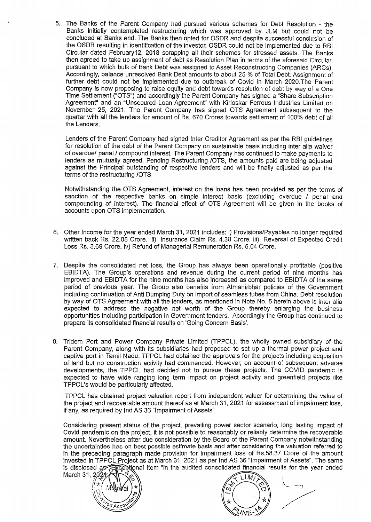5. The Banks of the Parent Company had pursued various schemes for Debt Resolution - the Banks initially contemplated restructuring which was approved by JLM but could not be concluded at Banks end. The Banks then opted for OSDR and despite successful conclusion of the OSDR resulting in identification of the investor, OSDR could not be implemented due to RBI Circular dated February12, 2018 scrapping all their schemes for stressed assets. The Banks then agreed to take up assignment of debt as Resolution Plan in terms of the aforesaid Circular, pursuant to which bulk of Bank Debt was assigned to Asset Reconstructing Companies (ARCs). Accordingly, balance unresolved Bank Debt amounts to about 25 % of Total Debt. Assignment of further debt could not be implemented due to outbreak of Covid in March 2020.The Parent Company is now proposing to raise equity and debt towards resolution of debt by way of a One Time Settlement {"OTS") and accordingly the Parent Company has signed a "Share Subscription Agreement' and an "Unsecured Loan Agreement" with Kirloskar Ferrous Industries Limited on November 25, 2021. The Parent Company has signed OTS Agreement subsequent to the quarter with all the lenders for amount of Rs. 670 Crores towards settlement of 100% debt of all the Lenders.

Lenders of the Parent Company had signed Inter Creditor Agreement as per the RBI guidelines for resolution of the debt of the Parent Company on sustainable basis including inter alia waiver of overdue/ penal/ compound interest. The Parent Company has continued to make payments to lenders as mutually agreed. Pending Restructuring /OTS, the amounts paid are being adjusted against the Principal outstanding of respective lenders and will be finally adjusted as per the terms of the restructuring /OTS

Notwithstanding the OTS Agreement, interest on the loans has been provided as per the terms of sanction of the respective banks on simple interest basis (excluding overdue / penal and compounding of interest). The financial effect of OTS Agreement will be given in the books of accounts upon OTS implementation.

- 6. Other Income for the year ended March 31, 2021 includes: i) Provisions/Payables no longer required written back Rs. 22.08 Crore. ii) Insurance Claim Rs. 4.38 Crore. iii) Reversal of Expected Credit Loss Rs. 3.69 Crore. iv) Refund of Managerial Remuneration Rs. 5.04 Crore.
- 7. Despite the consolidated net loss, the Group has always been operationally profitable (positive EBIDTA). The Group's operations and revenue during the current period of nine months has improved and EBIDTA for the nine months has also increased as compared to EBIDTA of the same period of previous year. The Group also benefits from Atmanirbhar policies of the Government including continuation of Anti Dumping Duty on import of seamless tubes from China. Debt resolution by way of OTS Agreement with all the lenders, as mentioned in Note No. 5 herein above is inter alia expected to address the negative net worth of the Group thereby enlarging the business opportunities including participation in Government tenders. Accordingly the Group has continued to prepare its consolidated financial results on 'Going Concern Basis'.
- 8. Tridem Port and Power Company Private Limited (TPPCL), the wholly owned subsidiary of the Parent Company, along with its subsidiaries had proposed to set up a thermal power project and captive port in Tamil Nadu. TPPCL had obtained the approvals for the projects including acquisition of land but no construction activity had commenced. However, on account of subsequent adverse developments, the TPPCL had decided not to pursue these projects. The COVID pandemic is expected to have wide ranging long term impact on project activity and greenfield projects like TPPCL's would be particularly affected.

TPPCL has obtained project valuation report from independent valuer for determining the value of the project and recoverable amount thereof as at March 31, 2021 for assessment of impairment loss, if any, as required by Jnd AS 36 "Impairment of Assets"

Considering present status of the project, prevailing power sector scenario, long lasting impact of Covid pandemic on the project, it is not possible to reasonably or reliably determine the recoverable amount. Nevertheless after due consideration by the Board of the Parent Company notwithstanding the uncertainties has on best possible estimate basis and after considering the valuation referred to in the preceding paragraph made provision for impairment loss of Rs.58.37 Crore of the amount invested in TPPCL Project as at March 31, 2021 as per Ind AS 36 "Impairment of Assets". The same is disclosed as Exceptional Item "in the audited consolidated financial results for the year ended